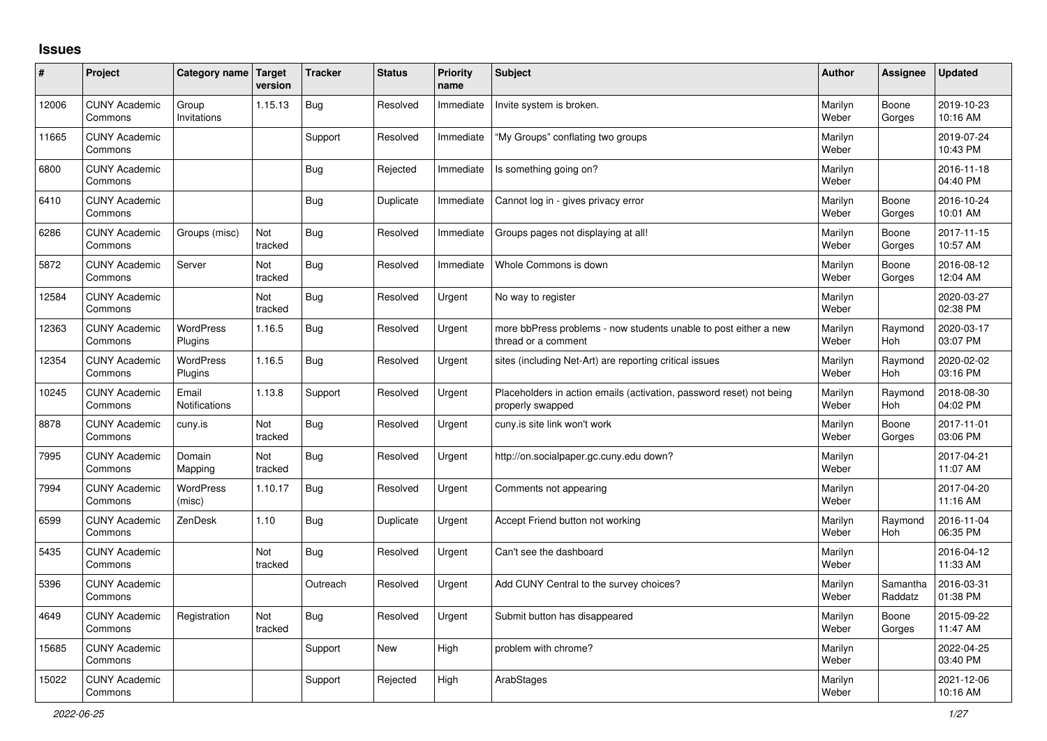## **Issues**

| ∦     | Project                         | Category name Target          | version        | <b>Tracker</b> | <b>Status</b> | <b>Priority</b><br>name | <b>Subject</b>                                                                           | Author           | Assignee              | <b>Updated</b>         |
|-------|---------------------------------|-------------------------------|----------------|----------------|---------------|-------------------------|------------------------------------------------------------------------------------------|------------------|-----------------------|------------------------|
| 12006 | <b>CUNY Academic</b><br>Commons | Group<br>Invitations          | 1.15.13        | <b>Bug</b>     | Resolved      | Immediate               | Invite system is broken.                                                                 | Marilyn<br>Weber | Boone<br>Gorges       | 2019-10-23<br>10:16 AM |
| 11665 | <b>CUNY Academic</b><br>Commons |                               |                | Support        | Resolved      | Immediate               | "My Groups" conflating two groups                                                        | Marilyn<br>Weber |                       | 2019-07-24<br>10:43 PM |
| 6800  | <b>CUNY Academic</b><br>Commons |                               |                | <b>Bug</b>     | Rejected      | Immediate               | Is something going on?                                                                   | Marilyn<br>Weber |                       | 2016-11-18<br>04:40 PM |
| 6410  | <b>CUNY Academic</b><br>Commons |                               |                | <b>Bug</b>     | Duplicate     | Immediate               | Cannot log in - gives privacy error                                                      | Marilyn<br>Weber | Boone<br>Gorges       | 2016-10-24<br>10:01 AM |
| 6286  | <b>CUNY Academic</b><br>Commons | Groups (misc)                 | Not<br>tracked | <b>Bug</b>     | Resolved      | Immediate               | Groups pages not displaying at all!                                                      | Marilyn<br>Weber | Boone<br>Gorges       | 2017-11-15<br>10:57 AM |
| 5872  | <b>CUNY Academic</b><br>Commons | Server                        | Not<br>tracked | <b>Bug</b>     | Resolved      | Immediate               | Whole Commons is down                                                                    | Marilyn<br>Weber | Boone<br>Gorges       | 2016-08-12<br>12:04 AM |
| 12584 | <b>CUNY Academic</b><br>Commons |                               | Not<br>tracked | <b>Bug</b>     | Resolved      | Urgent                  | No way to register                                                                       | Marilyn<br>Weber |                       | 2020-03-27<br>02:38 PM |
| 12363 | <b>CUNY Academic</b><br>Commons | <b>WordPress</b><br>Plugins   | 1.16.5         | <b>Bug</b>     | Resolved      | Urgent                  | more bbPress problems - now students unable to post either a new<br>thread or a comment  | Marilyn<br>Weber | Raymond<br><b>Hoh</b> | 2020-03-17<br>03:07 PM |
| 12354 | <b>CUNY Academic</b><br>Commons | <b>WordPress</b><br>Plugins   | 1.16.5         | Bug            | Resolved      | Urgent                  | sites (including Net-Art) are reporting critical issues                                  | Marilyn<br>Weber | Raymond<br>Hoh        | 2020-02-02<br>03:16 PM |
| 10245 | <b>CUNY Academic</b><br>Commons | Email<br><b>Notifications</b> | 1.13.8         | Support        | Resolved      | Urgent                  | Placeholders in action emails (activation, password reset) not being<br>properly swapped | Marilyn<br>Weber | Raymond<br><b>Hoh</b> | 2018-08-30<br>04:02 PM |
| 8878  | <b>CUNY Academic</b><br>Commons | cuny.is                       | Not<br>tracked | Bug            | Resolved      | Urgent                  | cuny.is site link won't work                                                             | Marilyn<br>Weber | Boone<br>Gorges       | 2017-11-01<br>03:06 PM |
| 7995  | <b>CUNY Academic</b><br>Commons | Domain<br>Mapping             | Not<br>tracked | <b>Bug</b>     | Resolved      | Urgent                  | http://on.socialpaper.gc.cuny.edu down?                                                  | Marilyn<br>Weber |                       | 2017-04-21<br>11:07 AM |
| 7994  | <b>CUNY Academic</b><br>Commons | <b>WordPress</b><br>(misc)    | 1.10.17        | <b>Bug</b>     | Resolved      | Urgent                  | Comments not appearing                                                                   | Marilyn<br>Weber |                       | 2017-04-20<br>11:16 AM |
| 6599  | <b>CUNY Academic</b><br>Commons | ZenDesk                       | 1.10           | Bug            | Duplicate     | Urgent                  | Accept Friend button not working                                                         | Marilyn<br>Weber | Raymond<br>Hoh        | 2016-11-04<br>06:35 PM |
| 5435  | <b>CUNY Academic</b><br>Commons |                               | Not<br>tracked | <b>Bug</b>     | Resolved      | Urgent                  | Can't see the dashboard                                                                  | Marilyn<br>Weber |                       | 2016-04-12<br>11:33 AM |
| 5396  | <b>CUNY Academic</b><br>Commons |                               |                | Outreach       | Resolved      | Urgent                  | Add CUNY Central to the survey choices?                                                  | Marilyn<br>Weber | Samantha<br>Raddatz   | 2016-03-31<br>01:38 PM |
| 4649  | <b>CUNY Academic</b><br>Commons | Registration                  | Not<br>tracked | Bug            | Resolved      | Urgent                  | Submit button has disappeared                                                            | Marilyn<br>Weber | Boone<br>Gorges       | 2015-09-22<br>11:47 AM |
| 15685 | <b>CUNY Academic</b><br>Commons |                               |                | Support        | <b>New</b>    | High                    | problem with chrome?                                                                     | Marilyn<br>Weber |                       | 2022-04-25<br>03:40 PM |
| 15022 | <b>CUNY Academic</b><br>Commons |                               |                | Support        | Rejected      | High                    | ArabStages                                                                               | Marilyn<br>Weber |                       | 2021-12-06<br>10:16 AM |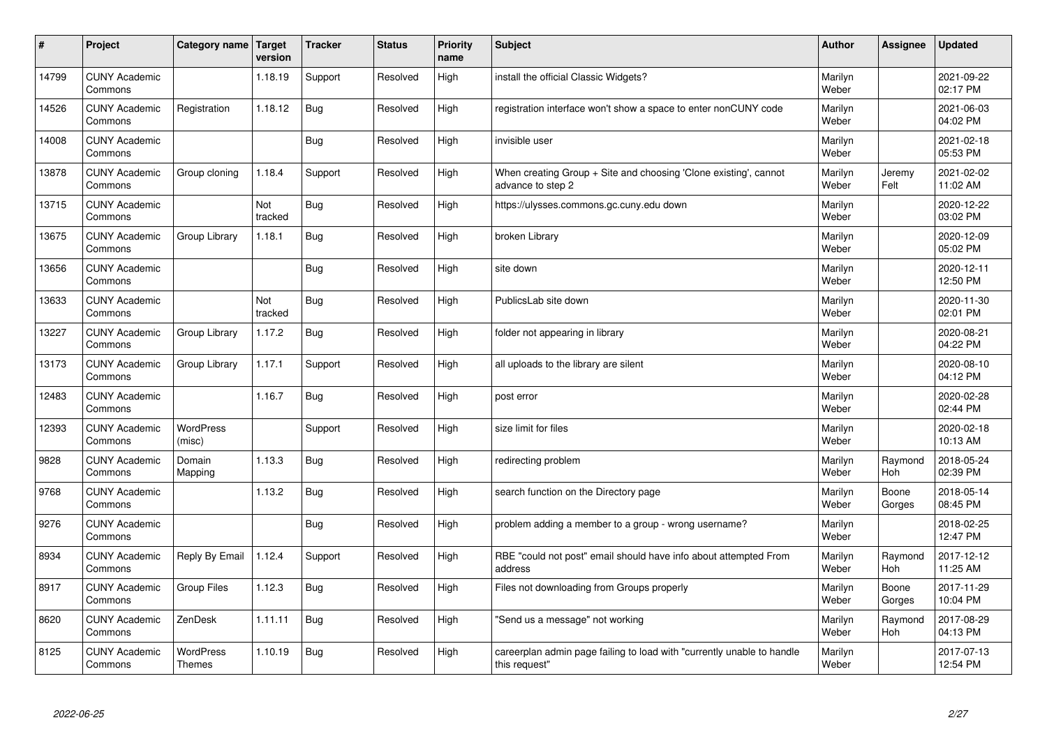| $\sharp$ | Project                         | Category name   Target            | version        | <b>Tracker</b> | <b>Status</b> | <b>Priority</b><br>name | <b>Subject</b>                                                                          | <b>Author</b>    | Assignee              | <b>Updated</b>         |
|----------|---------------------------------|-----------------------------------|----------------|----------------|---------------|-------------------------|-----------------------------------------------------------------------------------------|------------------|-----------------------|------------------------|
| 14799    | <b>CUNY Academic</b><br>Commons |                                   | 1.18.19        | Support        | Resolved      | High                    | install the official Classic Widgets?                                                   | Marilyn<br>Weber |                       | 2021-09-22<br>02:17 PM |
| 14526    | <b>CUNY Academic</b><br>Commons | Registration                      | 1.18.12        | Bug            | Resolved      | High                    | registration interface won't show a space to enter nonCUNY code                         | Marilyn<br>Weber |                       | 2021-06-03<br>04:02 PM |
| 14008    | <b>CUNY Academic</b><br>Commons |                                   |                | Bug            | Resolved      | High                    | invisible user                                                                          | Marilyn<br>Weber |                       | 2021-02-18<br>05:53 PM |
| 13878    | <b>CUNY Academic</b><br>Commons | Group cloning                     | 1.18.4         | Support        | Resolved      | High                    | When creating Group + Site and choosing 'Clone existing', cannot<br>advance to step 2   | Marilyn<br>Weber | Jeremy<br>Felt        | 2021-02-02<br>11:02 AM |
| 13715    | <b>CUNY Academic</b><br>Commons |                                   | Not<br>tracked | Bug            | Resolved      | High                    | https://ulysses.commons.gc.cuny.edu down                                                | Marilyn<br>Weber |                       | 2020-12-22<br>03:02 PM |
| 13675    | <b>CUNY Academic</b><br>Commons | Group Library                     | 1.18.1         | Bug            | Resolved      | High                    | broken Library                                                                          | Marilyn<br>Weber |                       | 2020-12-09<br>05:02 PM |
| 13656    | <b>CUNY Academic</b><br>Commons |                                   |                | Bug            | Resolved      | High                    | site down                                                                               | Marilyn<br>Weber |                       | 2020-12-11<br>12:50 PM |
| 13633    | <b>CUNY Academic</b><br>Commons |                                   | Not<br>tracked | Bug            | Resolved      | High                    | PublicsLab site down                                                                    | Marilyn<br>Weber |                       | 2020-11-30<br>02:01 PM |
| 13227    | <b>CUNY Academic</b><br>Commons | Group Library                     | 1.17.2         | Bug            | Resolved      | High                    | folder not appearing in library                                                         | Marilyn<br>Weber |                       | 2020-08-21<br>04:22 PM |
| 13173    | <b>CUNY Academic</b><br>Commons | Group Library                     | 1.17.1         | Support        | Resolved      | High                    | all uploads to the library are silent                                                   | Marilyn<br>Weber |                       | 2020-08-10<br>04:12 PM |
| 12483    | <b>CUNY Academic</b><br>Commons |                                   | 1.16.7         | <b>Bug</b>     | Resolved      | High                    | post error                                                                              | Marilyn<br>Weber |                       | 2020-02-28<br>02:44 PM |
| 12393    | <b>CUNY Academic</b><br>Commons | <b>WordPress</b><br>(misc)        |                | Support        | Resolved      | High                    | size limit for files                                                                    | Marilyn<br>Weber |                       | 2020-02-18<br>10:13 AM |
| 9828     | <b>CUNY Academic</b><br>Commons | Domain<br>Mapping                 | 1.13.3         | Bug            | Resolved      | High                    | redirecting problem                                                                     | Marilyn<br>Weber | Raymond<br>Hoh        | 2018-05-24<br>02:39 PM |
| 9768     | <b>CUNY Academic</b><br>Commons |                                   | 1.13.2         | Bug            | Resolved      | High                    | search function on the Directory page                                                   | Marilyn<br>Weber | Boone<br>Gorges       | 2018-05-14<br>08:45 PM |
| 9276     | <b>CUNY Academic</b><br>Commons |                                   |                | Bug            | Resolved      | High                    | problem adding a member to a group - wrong username?                                    | Marilyn<br>Weber |                       | 2018-02-25<br>12:47 PM |
| 8934     | <b>CUNY Academic</b><br>Commons | Reply By Email                    | 1.12.4         | Support        | Resolved      | High                    | RBE "could not post" email should have info about attempted From<br>address             | Marilyn<br>Weber | Raymond<br>Hoh        | 2017-12-12<br>11:25 AM |
| 8917     | <b>CUNY Academic</b><br>Commons | <b>Group Files</b>                | 1.12.3         | Bug            | Resolved      | High                    | Files not downloading from Groups properly                                              | Marilyn<br>Weber | Boone<br>Gorges       | 2017-11-29<br>10:04 PM |
| 8620     | <b>CUNY Academic</b><br>Commons | ZenDesk                           | 1.11.11        | Bug            | Resolved      | High                    | 'Send us a message" not working                                                         | Marilyn<br>Weber | Raymond<br><b>Hoh</b> | 2017-08-29<br>04:13 PM |
| 8125     | <b>CUNY Academic</b><br>Commons | <b>WordPress</b><br><b>Themes</b> | 1.10.19        | Bug            | Resolved      | High                    | careerplan admin page failing to load with "currently unable to handle<br>this request" | Marilyn<br>Weber |                       | 2017-07-13<br>12:54 PM |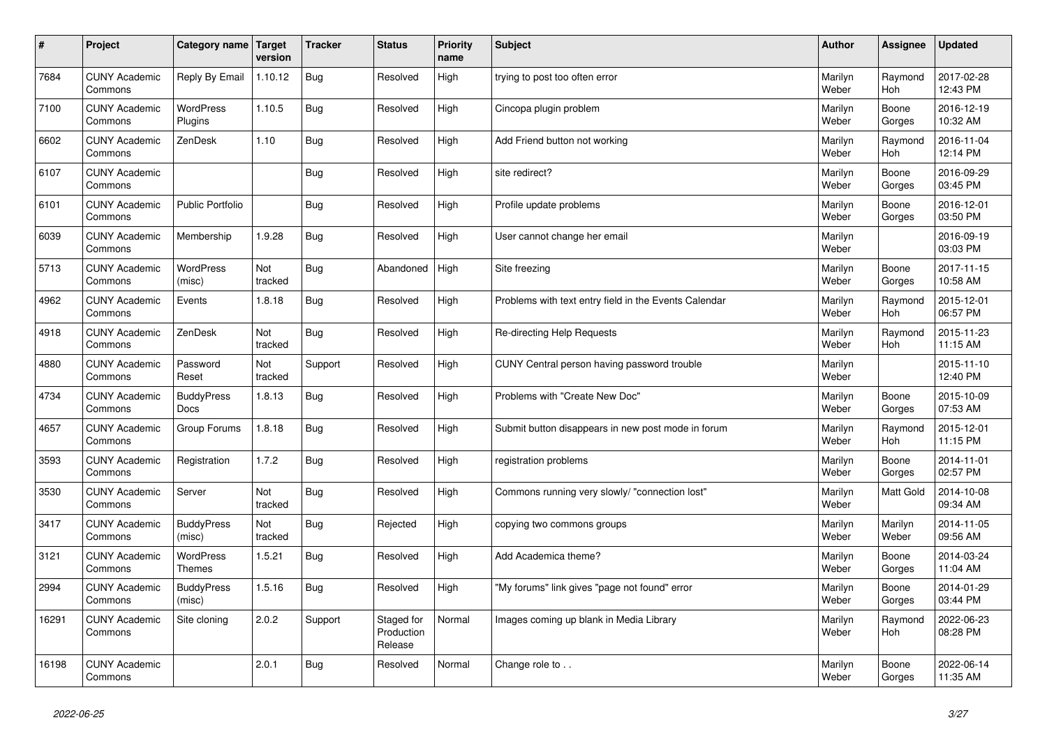| $\vert$ # | Project                         | Category name                     | Target<br>version | <b>Tracker</b> | <b>Status</b>                       | <b>Priority</b><br>name | <b>Subject</b>                                        | <b>Author</b>    | Assignee              | <b>Updated</b>         |
|-----------|---------------------------------|-----------------------------------|-------------------|----------------|-------------------------------------|-------------------------|-------------------------------------------------------|------------------|-----------------------|------------------------|
| 7684      | <b>CUNY Academic</b><br>Commons | Reply By Email                    | 1.10.12           | Bug            | Resolved                            | High                    | trying to post too often error                        | Marilyn<br>Weber | Raymond<br>Hoh        | 2017-02-28<br>12:43 PM |
| 7100      | <b>CUNY Academic</b><br>Commons | <b>WordPress</b><br>Plugins       | 1.10.5            | Bug            | Resolved                            | High                    | Cincopa plugin problem                                | Marilyn<br>Weber | Boone<br>Gorges       | 2016-12-19<br>10:32 AM |
| 6602      | <b>CUNY Academic</b><br>Commons | ZenDesk                           | 1.10              | Bug            | Resolved                            | High                    | Add Friend button not working                         | Marilyn<br>Weber | Raymond<br>Hoh        | 2016-11-04<br>12:14 PM |
| 6107      | <b>CUNY Academic</b><br>Commons |                                   |                   | Bug            | Resolved                            | High                    | site redirect?                                        | Marilyn<br>Weber | Boone<br>Gorges       | 2016-09-29<br>03:45 PM |
| 6101      | <b>CUNY Academic</b><br>Commons | <b>Public Portfolio</b>           |                   | <b>Bug</b>     | Resolved                            | High                    | Profile update problems                               | Marilyn<br>Weber | Boone<br>Gorges       | 2016-12-01<br>03:50 PM |
| 6039      | <b>CUNY Academic</b><br>Commons | Membership                        | 1.9.28            | Bug            | Resolved                            | High                    | User cannot change her email                          | Marilyn<br>Weber |                       | 2016-09-19<br>03:03 PM |
| 5713      | <b>CUNY Academic</b><br>Commons | <b>WordPress</b><br>(misc)        | Not<br>tracked    | Bug            | Abandoned                           | High                    | Site freezing                                         | Marilyn<br>Weber | Boone<br>Gorges       | 2017-11-15<br>10:58 AM |
| 4962      | <b>CUNY Academic</b><br>Commons | Events                            | 1.8.18            | Bug            | Resolved                            | High                    | Problems with text entry field in the Events Calendar | Marilyn<br>Weber | Raymond<br>Hoh        | 2015-12-01<br>06:57 PM |
| 4918      | <b>CUNY Academic</b><br>Commons | ZenDesk                           | Not<br>tracked    | Bug            | Resolved                            | High                    | Re-directing Help Requests                            | Marilyn<br>Weber | Raymond<br>Hoh        | 2015-11-23<br>11:15 AM |
| 4880      | <b>CUNY Academic</b><br>Commons | Password<br>Reset                 | Not<br>tracked    | Support        | Resolved                            | High                    | CUNY Central person having password trouble           | Marilyn<br>Weber |                       | 2015-11-10<br>12:40 PM |
| 4734      | <b>CUNY Academic</b><br>Commons | <b>BuddyPress</b><br><b>Docs</b>  | 1.8.13            | Bug            | Resolved                            | High                    | Problems with "Create New Doc"                        | Marilyn<br>Weber | Boone<br>Gorges       | 2015-10-09<br>07:53 AM |
| 4657      | <b>CUNY Academic</b><br>Commons | Group Forums                      | 1.8.18            | Bug            | Resolved                            | High                    | Submit button disappears in new post mode in forum    | Marilyn<br>Weber | Raymond<br>Hoh        | 2015-12-01<br>11:15 PM |
| 3593      | <b>CUNY Academic</b><br>Commons | Registration                      | 1.7.2             | Bug            | Resolved                            | High                    | registration problems                                 | Marilyn<br>Weber | Boone<br>Gorges       | 2014-11-01<br>02:57 PM |
| 3530      | <b>CUNY Academic</b><br>Commons | Server                            | Not<br>tracked    | Bug            | Resolved                            | High                    | Commons running very slowly/ "connection lost"        | Marilyn<br>Weber | Matt Gold             | 2014-10-08<br>09:34 AM |
| 3417      | <b>CUNY Academic</b><br>Commons | <b>BuddyPress</b><br>(misc)       | Not<br>tracked    | Bug            | Rejected                            | High                    | copying two commons groups                            | Marilyn<br>Weber | Marilyn<br>Weber      | 2014-11-05<br>09:56 AM |
| 3121      | <b>CUNY Academic</b><br>Commons | <b>WordPress</b><br><b>Themes</b> | 1.5.21            | Bug            | Resolved                            | High                    | Add Academica theme?                                  | Marilyn<br>Weber | Boone<br>Gorges       | 2014-03-24<br>11:04 AM |
| 2994      | <b>CUNY Academic</b><br>Commons | <b>BuddyPress</b><br>(misc)       | 1.5.16            | Bug            | Resolved                            | High                    | "My forums" link gives "page not found" error         | Marilyn<br>Weber | Boone<br>Gorges       | 2014-01-29<br>03:44 PM |
| 16291     | <b>CUNY Academic</b><br>Commons | Site cloning                      | 2.0.2             | Support        | Staged for<br>Production<br>Release | Normal                  | Images coming up blank in Media Library               | Marilyn<br>Weber | Raymond<br><b>Hoh</b> | 2022-06-23<br>08:28 PM |
| 16198     | <b>CUNY Academic</b><br>Commons |                                   | 2.0.1             | Bug            | Resolved                            | Normal                  | Change role to                                        | Marilyn<br>Weber | Boone<br>Gorges       | 2022-06-14<br>11:35 AM |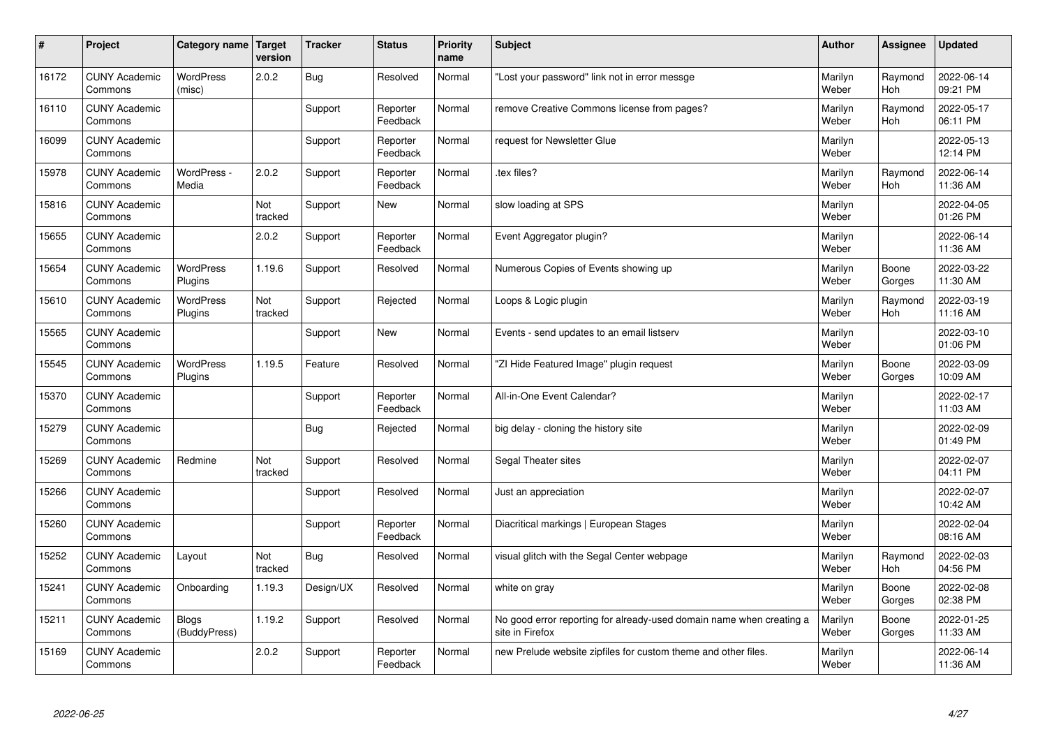| #     | Project                         | Category name               | Target<br>version | <b>Tracker</b> | <b>Status</b>        | <b>Priority</b><br>name | <b>Subject</b>                                                                          | <b>Author</b>    | Assignee              | <b>Updated</b>         |
|-------|---------------------------------|-----------------------------|-------------------|----------------|----------------------|-------------------------|-----------------------------------------------------------------------------------------|------------------|-----------------------|------------------------|
| 16172 | <b>CUNY Academic</b><br>Commons | <b>WordPress</b><br>(misc)  | 2.0.2             | Bug            | Resolved             | Normal                  | 'Lost your password" link not in error messge                                           | Marilyn<br>Weber | Raymond<br>Hoh        | 2022-06-14<br>09:21 PM |
| 16110 | <b>CUNY Academic</b><br>Commons |                             |                   | Support        | Reporter<br>Feedback | Normal                  | remove Creative Commons license from pages?                                             | Marilyn<br>Weber | Raymond<br>Hoh        | 2022-05-17<br>06:11 PM |
| 16099 | <b>CUNY Academic</b><br>Commons |                             |                   | Support        | Reporter<br>Feedback | Normal                  | request for Newsletter Glue                                                             | Marilyn<br>Weber |                       | 2022-05-13<br>12:14 PM |
| 15978 | <b>CUNY Academic</b><br>Commons | WordPress -<br>Media        | 2.0.2             | Support        | Reporter<br>Feedback | Normal                  | tex files?                                                                              | Marilyn<br>Weber | Raymond<br><b>Hoh</b> | 2022-06-14<br>11:36 AM |
| 15816 | <b>CUNY Academic</b><br>Commons |                             | Not<br>tracked    | Support        | <b>New</b>           | Normal                  | slow loading at SPS                                                                     | Marilyn<br>Weber |                       | 2022-04-05<br>01:26 PM |
| 15655 | <b>CUNY Academic</b><br>Commons |                             | 2.0.2             | Support        | Reporter<br>Feedback | Normal                  | Event Aggregator plugin?                                                                | Marilyn<br>Weber |                       | 2022-06-14<br>11:36 AM |
| 15654 | <b>CUNY Academic</b><br>Commons | <b>WordPress</b><br>Plugins | 1.19.6            | Support        | Resolved             | Normal                  | Numerous Copies of Events showing up                                                    | Marilyn<br>Weber | Boone<br>Gorges       | 2022-03-22<br>11:30 AM |
| 15610 | <b>CUNY Academic</b><br>Commons | <b>WordPress</b><br>Plugins | Not<br>tracked    | Support        | Rejected             | Normal                  | Loops & Logic plugin                                                                    | Marilyn<br>Weber | Raymond<br>Hoh        | 2022-03-19<br>11:16 AM |
| 15565 | <b>CUNY Academic</b><br>Commons |                             |                   | Support        | New                  | Normal                  | Events - send updates to an email listserv                                              | Marilyn<br>Weber |                       | 2022-03-10<br>01:06 PM |
| 15545 | <b>CUNY Academic</b><br>Commons | WordPress<br>Plugins        | 1.19.5            | Feature        | Resolved             | Normal                  | 'ZI Hide Featured Image" plugin request                                                 | Marilyn<br>Weber | Boone<br>Gorges       | 2022-03-09<br>10:09 AM |
| 15370 | <b>CUNY Academic</b><br>Commons |                             |                   | Support        | Reporter<br>Feedback | Normal                  | All-in-One Event Calendar?                                                              | Marilyn<br>Weber |                       | 2022-02-17<br>11:03 AM |
| 15279 | <b>CUNY Academic</b><br>Commons |                             |                   | Bug            | Rejected             | Normal                  | big delay - cloning the history site                                                    | Marilyn<br>Weber |                       | 2022-02-09<br>01:49 PM |
| 15269 | <b>CUNY Academic</b><br>Commons | Redmine                     | Not<br>tracked    | Support        | Resolved             | Normal                  | Segal Theater sites                                                                     | Marilyn<br>Weber |                       | 2022-02-07<br>04:11 PM |
| 15266 | <b>CUNY Academic</b><br>Commons |                             |                   | Support        | Resolved             | Normal                  | Just an appreciation                                                                    | Marilyn<br>Weber |                       | 2022-02-07<br>10:42 AM |
| 15260 | <b>CUNY Academic</b><br>Commons |                             |                   | Support        | Reporter<br>Feedback | Normal                  | Diacritical markings   European Stages                                                  | Marilyn<br>Weber |                       | 2022-02-04<br>08:16 AM |
| 15252 | <b>CUNY Academic</b><br>Commons | Layout                      | Not<br>tracked    | Bug            | Resolved             | Normal                  | visual glitch with the Segal Center webpage                                             | Marilyn<br>Weber | Raymond<br>Hoh        | 2022-02-03<br>04:56 PM |
| 15241 | <b>CUNY Academic</b><br>Commons | Onboarding                  | 1.19.3            | Design/UX      | Resolved             | Normal                  | white on gray                                                                           | Marilyn<br>Weber | Boone<br>Gorges       | 2022-02-08<br>02:38 PM |
| 15211 | <b>CUNY Academic</b><br>Commons | Blogs<br>(BuddyPress)       | 1.19.2            | Support        | Resolved             | Normal                  | No good error reporting for already-used domain name when creating a<br>site in Firefox | Marilyn<br>Weber | Boone<br>Gorges       | 2022-01-25<br>11:33 AM |
| 15169 | <b>CUNY Academic</b><br>Commons |                             | 2.0.2             | Support        | Reporter<br>Feedback | Normal                  | new Prelude website zipfiles for custom theme and other files.                          | Marilyn<br>Weber |                       | 2022-06-14<br>11:36 AM |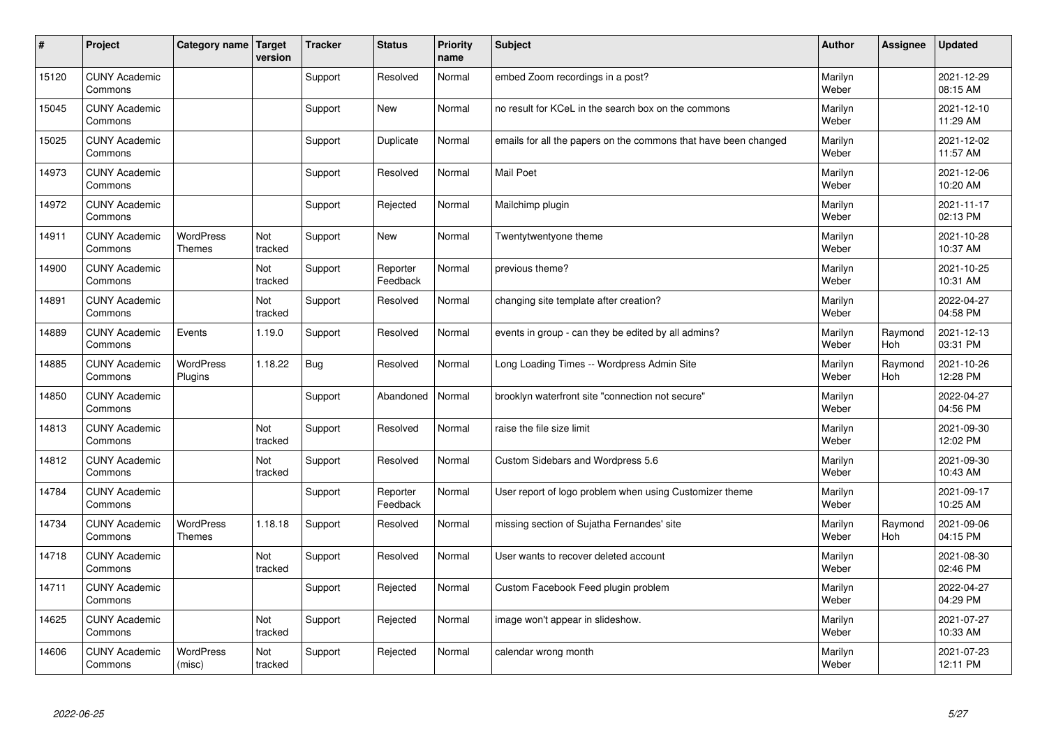| #     | Project                         | Category name   Target            | version        | <b>Tracker</b> | <b>Status</b>        | <b>Priority</b><br>name | <b>Subject</b>                                                  | <b>Author</b>    | Assignee              | <b>Updated</b>         |
|-------|---------------------------------|-----------------------------------|----------------|----------------|----------------------|-------------------------|-----------------------------------------------------------------|------------------|-----------------------|------------------------|
| 15120 | <b>CUNY Academic</b><br>Commons |                                   |                | Support        | Resolved             | Normal                  | embed Zoom recordings in a post?                                | Marilyn<br>Weber |                       | 2021-12-29<br>08:15 AM |
| 15045 | <b>CUNY Academic</b><br>Commons |                                   |                | Support        | <b>New</b>           | Normal                  | no result for KCeL in the search box on the commons             | Marilyn<br>Weber |                       | 2021-12-10<br>11:29 AM |
| 15025 | <b>CUNY Academic</b><br>Commons |                                   |                | Support        | Duplicate            | Normal                  | emails for all the papers on the commons that have been changed | Marilyn<br>Weber |                       | 2021-12-02<br>11:57 AM |
| 14973 | <b>CUNY Academic</b><br>Commons |                                   |                | Support        | Resolved             | Normal                  | <b>Mail Poet</b>                                                | Marilyn<br>Weber |                       | 2021-12-06<br>10:20 AM |
| 14972 | <b>CUNY Academic</b><br>Commons |                                   |                | Support        | Rejected             | Normal                  | Mailchimp plugin                                                | Marilyn<br>Weber |                       | 2021-11-17<br>02:13 PM |
| 14911 | <b>CUNY Academic</b><br>Commons | <b>WordPress</b><br><b>Themes</b> | Not<br>tracked | Support        | <b>New</b>           | Normal                  | Twentytwentyone theme                                           | Marilyn<br>Weber |                       | 2021-10-28<br>10:37 AM |
| 14900 | <b>CUNY Academic</b><br>Commons |                                   | Not<br>tracked | Support        | Reporter<br>Feedback | Normal                  | previous theme?                                                 | Marilyn<br>Weber |                       | 2021-10-25<br>10:31 AM |
| 14891 | <b>CUNY Academic</b><br>Commons |                                   | Not<br>tracked | Support        | Resolved             | Normal                  | changing site template after creation?                          | Marilyn<br>Weber |                       | 2022-04-27<br>04:58 PM |
| 14889 | <b>CUNY Academic</b><br>Commons | Events                            | 1.19.0         | Support        | Resolved             | Normal                  | events in group - can they be edited by all admins?             | Marilyn<br>Weber | Raymond<br>Hoh        | 2021-12-13<br>03:31 PM |
| 14885 | <b>CUNY Academic</b><br>Commons | <b>WordPress</b><br>Plugins       | 1.18.22        | Bug            | Resolved             | Normal                  | Long Loading Times -- Wordpress Admin Site                      | Marilyn<br>Weber | Raymond<br><b>Hoh</b> | 2021-10-26<br>12:28 PM |
| 14850 | <b>CUNY Academic</b><br>Commons |                                   |                | Support        | Abandoned            | Normal                  | brooklyn waterfront site "connection not secure"                | Marilyn<br>Weber |                       | 2022-04-27<br>04:56 PM |
| 14813 | <b>CUNY Academic</b><br>Commons |                                   | Not<br>tracked | Support        | Resolved             | Normal                  | raise the file size limit                                       | Marilyn<br>Weber |                       | 2021-09-30<br>12:02 PM |
| 14812 | <b>CUNY Academic</b><br>Commons |                                   | Not<br>tracked | Support        | Resolved             | Normal                  | Custom Sidebars and Wordpress 5.6                               | Marilyn<br>Weber |                       | 2021-09-30<br>10:43 AM |
| 14784 | <b>CUNY Academic</b><br>Commons |                                   |                | Support        | Reporter<br>Feedback | Normal                  | User report of logo problem when using Customizer theme         | Marilyn<br>Weber |                       | 2021-09-17<br>10:25 AM |
| 14734 | <b>CUNY Academic</b><br>Commons | <b>WordPress</b><br><b>Themes</b> | 1.18.18        | Support        | Resolved             | Normal                  | missing section of Sujatha Fernandes' site                      | Marilyn<br>Weber | Raymond<br>Hoh        | 2021-09-06<br>04:15 PM |
| 14718 | <b>CUNY Academic</b><br>Commons |                                   | Not<br>tracked | Support        | Resolved             | Normal                  | User wants to recover deleted account                           | Marilyn<br>Weber |                       | 2021-08-30<br>02:46 PM |
| 14711 | <b>CUNY Academic</b><br>Commons |                                   |                | Support        | Rejected             | Normal                  | Custom Facebook Feed plugin problem                             | Marilyn<br>Weber |                       | 2022-04-27<br>04:29 PM |
| 14625 | <b>CUNY Academic</b><br>Commons |                                   | Not<br>tracked | Support        | Rejected             | Normal                  | image won't appear in slideshow.                                | Marilyn<br>Weber |                       | 2021-07-27<br>10:33 AM |
| 14606 | <b>CUNY Academic</b><br>Commons | <b>WordPress</b><br>(misc)        | Not<br>tracked | Support        | Rejected             | Normal                  | calendar wrong month                                            | Marilyn<br>Weber |                       | 2021-07-23<br>12:11 PM |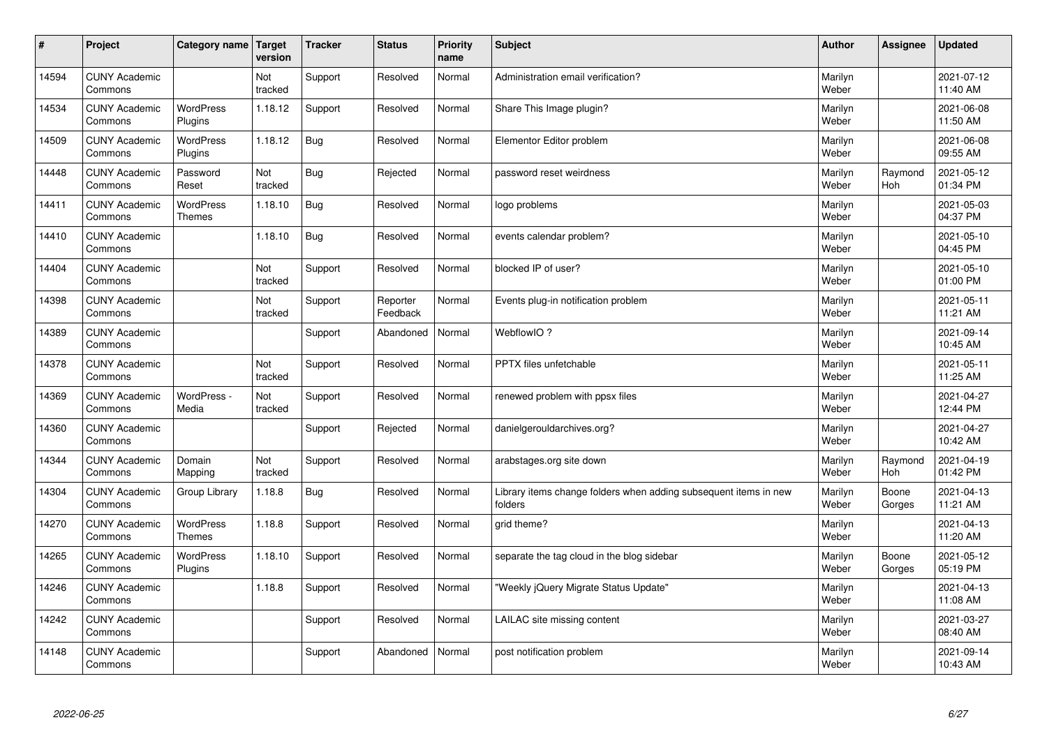| $\sharp$ | Project                         | Category name   Target            | version        | <b>Tracker</b> | <b>Status</b>        | <b>Priority</b><br>name | <b>Subject</b>                                                              | <b>Author</b>    | Assignee        | <b>Updated</b>         |
|----------|---------------------------------|-----------------------------------|----------------|----------------|----------------------|-------------------------|-----------------------------------------------------------------------------|------------------|-----------------|------------------------|
| 14594    | <b>CUNY Academic</b><br>Commons |                                   | Not<br>tracked | Support        | Resolved             | Normal                  | Administration email verification?                                          | Marilyn<br>Weber |                 | 2021-07-12<br>11:40 AM |
| 14534    | <b>CUNY Academic</b><br>Commons | <b>WordPress</b><br>Plugins       | 1.18.12        | Support        | Resolved             | Normal                  | Share This Image plugin?                                                    | Marilyn<br>Weber |                 | 2021-06-08<br>11:50 AM |
| 14509    | <b>CUNY Academic</b><br>Commons | <b>WordPress</b><br>Plugins       | 1.18.12        | Bug            | Resolved             | Normal                  | Elementor Editor problem                                                    | Marilyn<br>Weber |                 | 2021-06-08<br>09:55 AM |
| 14448    | <b>CUNY Academic</b><br>Commons | Password<br>Reset                 | Not<br>tracked | <b>Bug</b>     | Rejected             | Normal                  | password reset weirdness                                                    | Marilyn<br>Weber | Raymond<br>Hoh  | 2021-05-12<br>01:34 PM |
| 14411    | <b>CUNY Academic</b><br>Commons | <b>WordPress</b><br><b>Themes</b> | 1.18.10        | Bug            | Resolved             | Normal                  | logo problems                                                               | Marilyn<br>Weber |                 | 2021-05-03<br>04:37 PM |
| 14410    | <b>CUNY Academic</b><br>Commons |                                   | 1.18.10        | Bug            | Resolved             | Normal                  | events calendar problem?                                                    | Marilyn<br>Weber |                 | 2021-05-10<br>04:45 PM |
| 14404    | <b>CUNY Academic</b><br>Commons |                                   | Not<br>tracked | Support        | Resolved             | Normal                  | blocked IP of user?                                                         | Marilyn<br>Weber |                 | 2021-05-10<br>01:00 PM |
| 14398    | <b>CUNY Academic</b><br>Commons |                                   | Not<br>tracked | Support        | Reporter<br>Feedback | Normal                  | Events plug-in notification problem                                         | Marilyn<br>Weber |                 | 2021-05-11<br>11:21 AM |
| 14389    | <b>CUNY Academic</b><br>Commons |                                   |                | Support        | Abandoned            | Normal                  | WebflowIO?                                                                  | Marilyn<br>Weber |                 | 2021-09-14<br>10:45 AM |
| 14378    | <b>CUNY Academic</b><br>Commons |                                   | Not<br>tracked | Support        | Resolved             | Normal                  | PPTX files unfetchable                                                      | Marilyn<br>Weber |                 | 2021-05-11<br>11:25 AM |
| 14369    | <b>CUNY Academic</b><br>Commons | WordPress -<br>Media              | Not<br>tracked | Support        | Resolved             | Normal                  | renewed problem with ppsx files                                             | Marilyn<br>Weber |                 | 2021-04-27<br>12:44 PM |
| 14360    | <b>CUNY Academic</b><br>Commons |                                   |                | Support        | Rejected             | Normal                  | danielgerouldarchives.org?                                                  | Marilyn<br>Weber |                 | 2021-04-27<br>10:42 AM |
| 14344    | <b>CUNY Academic</b><br>Commons | Domain<br>Mapping                 | Not<br>tracked | Support        | Resolved             | Normal                  | arabstages.org site down                                                    | Marilyn<br>Weber | Raymond<br>Hoh  | 2021-04-19<br>01:42 PM |
| 14304    | <b>CUNY Academic</b><br>Commons | Group Library                     | 1.18.8         | Bug            | Resolved             | Normal                  | Library items change folders when adding subsequent items in new<br>folders | Marilyn<br>Weber | Boone<br>Gorges | 2021-04-13<br>11:21 AM |
| 14270    | <b>CUNY Academic</b><br>Commons | WordPress<br><b>Themes</b>        | 1.18.8         | Support        | Resolved             | Normal                  | grid theme?                                                                 | Marilyn<br>Weber |                 | 2021-04-13<br>11:20 AM |
| 14265    | <b>CUNY Academic</b><br>Commons | <b>WordPress</b><br>Plugins       | 1.18.10        | Support        | Resolved             | Normal                  | separate the tag cloud in the blog sidebar                                  | Marilyn<br>Weber | Boone<br>Gorges | 2021-05-12<br>05:19 PM |
| 14246    | <b>CUNY Academic</b><br>Commons |                                   | 1.18.8         | Support        | Resolved             | Normal                  | 'Weekly jQuery Migrate Status Update"                                       | Marilyn<br>Weber |                 | 2021-04-13<br>11:08 AM |
| 14242    | <b>CUNY Academic</b><br>Commons |                                   |                | Support        | Resolved             | Normal                  | LAILAC site missing content                                                 | Marilyn<br>Weber |                 | 2021-03-27<br>08:40 AM |
| 14148    | <b>CUNY Academic</b><br>Commons |                                   |                | Support        | Abandoned            | Normal                  | post notification problem                                                   | Marilyn<br>Weber |                 | 2021-09-14<br>10:43 AM |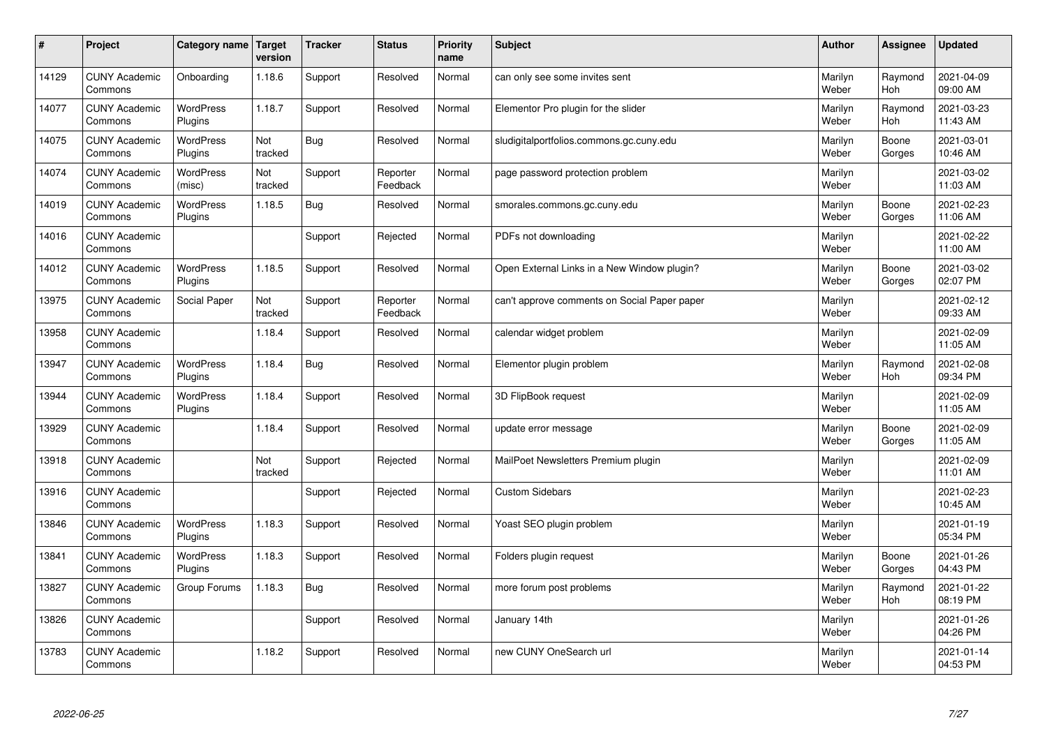| #     | Project                         | Category name               | <b>Target</b><br>version | <b>Tracker</b> | <b>Status</b>        | <b>Priority</b><br>name | <b>Subject</b>                               | <b>Author</b>    | Assignee        | <b>Updated</b>         |
|-------|---------------------------------|-----------------------------|--------------------------|----------------|----------------------|-------------------------|----------------------------------------------|------------------|-----------------|------------------------|
| 14129 | <b>CUNY Academic</b><br>Commons | Onboarding                  | 1.18.6                   | Support        | Resolved             | Normal                  | can only see some invites sent               | Marilyn<br>Weber | Raymond<br>Hoh  | 2021-04-09<br>09:00 AM |
| 14077 | <b>CUNY Academic</b><br>Commons | <b>WordPress</b><br>Plugins | 1.18.7                   | Support        | Resolved             | Normal                  | Elementor Pro plugin for the slider          | Marilyn<br>Weber | Raymond<br>Hoh  | 2021-03-23<br>11:43 AM |
| 14075 | <b>CUNY Academic</b><br>Commons | <b>WordPress</b><br>Plugins | Not<br>tracked           | Bug            | Resolved             | Normal                  | sludigitalportfolios.commons.gc.cuny.edu     | Marilyn<br>Weber | Boone<br>Gorges | 2021-03-01<br>10:46 AM |
| 14074 | <b>CUNY Academic</b><br>Commons | <b>WordPress</b><br>(misc)  | Not<br>tracked           | Support        | Reporter<br>Feedback | Normal                  | page password protection problem             | Marilyn<br>Weber |                 | 2021-03-02<br>11:03 AM |
| 14019 | <b>CUNY Academic</b><br>Commons | <b>WordPress</b><br>Plugins | 1.18.5                   | Bug            | Resolved             | Normal                  | smorales.commons.gc.cuny.edu                 | Marilyn<br>Weber | Boone<br>Gorges | 2021-02-23<br>11:06 AM |
| 14016 | <b>CUNY Academic</b><br>Commons |                             |                          | Support        | Rejected             | Normal                  | PDFs not downloading                         | Marilyn<br>Weber |                 | 2021-02-22<br>11:00 AM |
| 14012 | <b>CUNY Academic</b><br>Commons | <b>WordPress</b><br>Plugins | 1.18.5                   | Support        | Resolved             | Normal                  | Open External Links in a New Window plugin?  | Marilyn<br>Weber | Boone<br>Gorges | 2021-03-02<br>02:07 PM |
| 13975 | <b>CUNY Academic</b><br>Commons | Social Paper                | Not<br>tracked           | Support        | Reporter<br>Feedback | Normal                  | can't approve comments on Social Paper paper | Marilyn<br>Weber |                 | 2021-02-12<br>09:33 AM |
| 13958 | <b>CUNY Academic</b><br>Commons |                             | 1.18.4                   | Support        | Resolved             | Normal                  | calendar widget problem                      | Marilyn<br>Weber |                 | 2021-02-09<br>11:05 AM |
| 13947 | <b>CUNY Academic</b><br>Commons | WordPress<br>Plugins        | 1.18.4                   | Bug            | Resolved             | Normal                  | Elementor plugin problem                     | Marilyn<br>Weber | Raymond<br>Hoh  | 2021-02-08<br>09:34 PM |
| 13944 | <b>CUNY Academic</b><br>Commons | WordPress<br>Plugins        | 1.18.4                   | Support        | Resolved             | Normal                  | 3D FlipBook request                          | Marilyn<br>Weber |                 | 2021-02-09<br>11:05 AM |
| 13929 | <b>CUNY Academic</b><br>Commons |                             | 1.18.4                   | Support        | Resolved             | Normal                  | update error message                         | Marilyn<br>Weber | Boone<br>Gorges | 2021-02-09<br>11:05 AM |
| 13918 | <b>CUNY Academic</b><br>Commons |                             | Not<br>tracked           | Support        | Rejected             | Normal                  | MailPoet Newsletters Premium plugin          | Marilyn<br>Weber |                 | 2021-02-09<br>11:01 AM |
| 13916 | <b>CUNY Academic</b><br>Commons |                             |                          | Support        | Rejected             | Normal                  | <b>Custom Sidebars</b>                       | Marilyn<br>Weber |                 | 2021-02-23<br>10:45 AM |
| 13846 | <b>CUNY Academic</b><br>Commons | <b>WordPress</b><br>Plugins | 1.18.3                   | Support        | Resolved             | Normal                  | Yoast SEO plugin problem                     | Marilyn<br>Weber |                 | 2021-01-19<br>05:34 PM |
| 13841 | <b>CUNY Academic</b><br>Commons | <b>WordPress</b><br>Plugins | 1.18.3                   | Support        | Resolved             | Normal                  | Folders plugin request                       | Marilyn<br>Weber | Boone<br>Gorges | 2021-01-26<br>04:43 PM |
| 13827 | <b>CUNY Academic</b><br>Commons | Group Forums                | 1.18.3                   | Bug            | Resolved             | Normal                  | more forum post problems                     | Marilyn<br>Weber | Raymond<br>Hoh  | 2021-01-22<br>08:19 PM |
| 13826 | <b>CUNY Academic</b><br>Commons |                             |                          | Support        | Resolved             | Normal                  | January 14th                                 | Marilyn<br>Weber |                 | 2021-01-26<br>04:26 PM |
| 13783 | <b>CUNY Academic</b><br>Commons |                             | 1.18.2                   | Support        | Resolved             | Normal                  | new CUNY OneSearch url                       | Marilyn<br>Weber |                 | 2021-01-14<br>04:53 PM |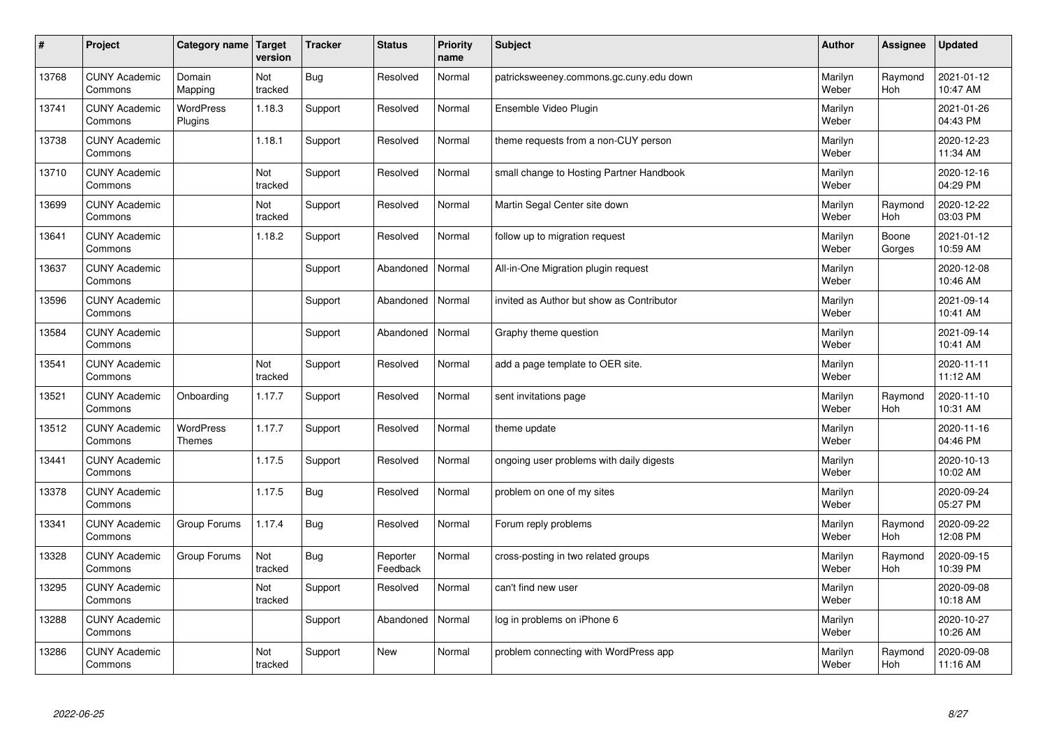| $\pmb{\#}$ | Project                         | Category name                     | Target<br>version | <b>Tracker</b> | <b>Status</b>        | <b>Priority</b><br>name | <b>Subject</b>                            | <b>Author</b>    | Assignee        | <b>Updated</b>         |
|------------|---------------------------------|-----------------------------------|-------------------|----------------|----------------------|-------------------------|-------------------------------------------|------------------|-----------------|------------------------|
| 13768      | <b>CUNY Academic</b><br>Commons | Domain<br>Mapping                 | Not<br>tracked    | <b>Bug</b>     | Resolved             | Normal                  | patricksweeney.commons.gc.cuny.edu down   | Marilyn<br>Weber | Raymond<br>Hoh  | 2021-01-12<br>10:47 AM |
| 13741      | <b>CUNY Academic</b><br>Commons | <b>WordPress</b><br>Plugins       | 1.18.3            | Support        | Resolved             | Normal                  | Ensemble Video Plugin                     | Marilyn<br>Weber |                 | 2021-01-26<br>04:43 PM |
| 13738      | <b>CUNY Academic</b><br>Commons |                                   | 1.18.1            | Support        | Resolved             | Normal                  | theme requests from a non-CUY person      | Marilyn<br>Weber |                 | 2020-12-23<br>11:34 AM |
| 13710      | <b>CUNY Academic</b><br>Commons |                                   | Not<br>tracked    | Support        | Resolved             | Normal                  | small change to Hosting Partner Handbook  | Marilyn<br>Weber |                 | 2020-12-16<br>04:29 PM |
| 13699      | <b>CUNY Academic</b><br>Commons |                                   | Not<br>tracked    | Support        | Resolved             | Normal                  | Martin Segal Center site down             | Marilyn<br>Weber | Raymond<br>Hoh  | 2020-12-22<br>03:03 PM |
| 13641      | <b>CUNY Academic</b><br>Commons |                                   | 1.18.2            | Support        | Resolved             | Normal                  | follow up to migration request            | Marilyn<br>Weber | Boone<br>Gorges | 2021-01-12<br>10:59 AM |
| 13637      | <b>CUNY Academic</b><br>Commons |                                   |                   | Support        | Abandoned            | Normal                  | All-in-One Migration plugin request       | Marilyn<br>Weber |                 | 2020-12-08<br>10:46 AM |
| 13596      | <b>CUNY Academic</b><br>Commons |                                   |                   | Support        | Abandoned            | Normal                  | invited as Author but show as Contributor | Marilyn<br>Weber |                 | 2021-09-14<br>10:41 AM |
| 13584      | <b>CUNY Academic</b><br>Commons |                                   |                   | Support        | Abandoned            | Normal                  | Graphy theme question                     | Marilyn<br>Weber |                 | 2021-09-14<br>10:41 AM |
| 13541      | <b>CUNY Academic</b><br>Commons |                                   | Not<br>tracked    | Support        | Resolved             | Normal                  | add a page template to OER site.          | Marilyn<br>Weber |                 | 2020-11-11<br>11:12 AM |
| 13521      | <b>CUNY Academic</b><br>Commons | Onboarding                        | 1.17.7            | Support        | Resolved             | Normal                  | sent invitations page                     | Marilyn<br>Weber | Raymond<br>Hoh  | 2020-11-10<br>10:31 AM |
| 13512      | <b>CUNY Academic</b><br>Commons | <b>WordPress</b><br><b>Themes</b> | 1.17.7            | Support        | Resolved             | Normal                  | theme update                              | Marilyn<br>Weber |                 | 2020-11-16<br>04:46 PM |
| 13441      | <b>CUNY Academic</b><br>Commons |                                   | 1.17.5            | Support        | Resolved             | Normal                  | ongoing user problems with daily digests  | Marilyn<br>Weber |                 | 2020-10-13<br>10:02 AM |
| 13378      | <b>CUNY Academic</b><br>Commons |                                   | 1.17.5            | <b>Bug</b>     | Resolved             | Normal                  | problem on one of my sites                | Marilyn<br>Weber |                 | 2020-09-24<br>05:27 PM |
| 13341      | <b>CUNY Academic</b><br>Commons | Group Forums                      | 1.17.4            | Bug            | Resolved             | Normal                  | Forum reply problems                      | Marilyn<br>Weber | Raymond<br>Hoh  | 2020-09-22<br>12:08 PM |
| 13328      | <b>CUNY Academic</b><br>Commons | Group Forums                      | Not<br>tracked    | <b>Bug</b>     | Reporter<br>Feedback | Normal                  | cross-posting in two related groups       | Marilyn<br>Weber | Raymond<br>Hoh  | 2020-09-15<br>10:39 PM |
| 13295      | <b>CUNY Academic</b><br>Commons |                                   | Not<br>tracked    | Support        | Resolved             | Normal                  | can't find new user                       | Marilyn<br>Weber |                 | 2020-09-08<br>10:18 AM |
| 13288      | <b>CUNY Academic</b><br>Commons |                                   |                   | Support        | Abandoned            | Normal                  | log in problems on iPhone 6               | Marilyn<br>Weber |                 | 2020-10-27<br>10:26 AM |
| 13286      | <b>CUNY Academic</b><br>Commons |                                   | Not<br>tracked    | Support        | <b>New</b>           | Normal                  | problem connecting with WordPress app     | Marilyn<br>Weber | Raymond<br>Hoh  | 2020-09-08<br>11:16 AM |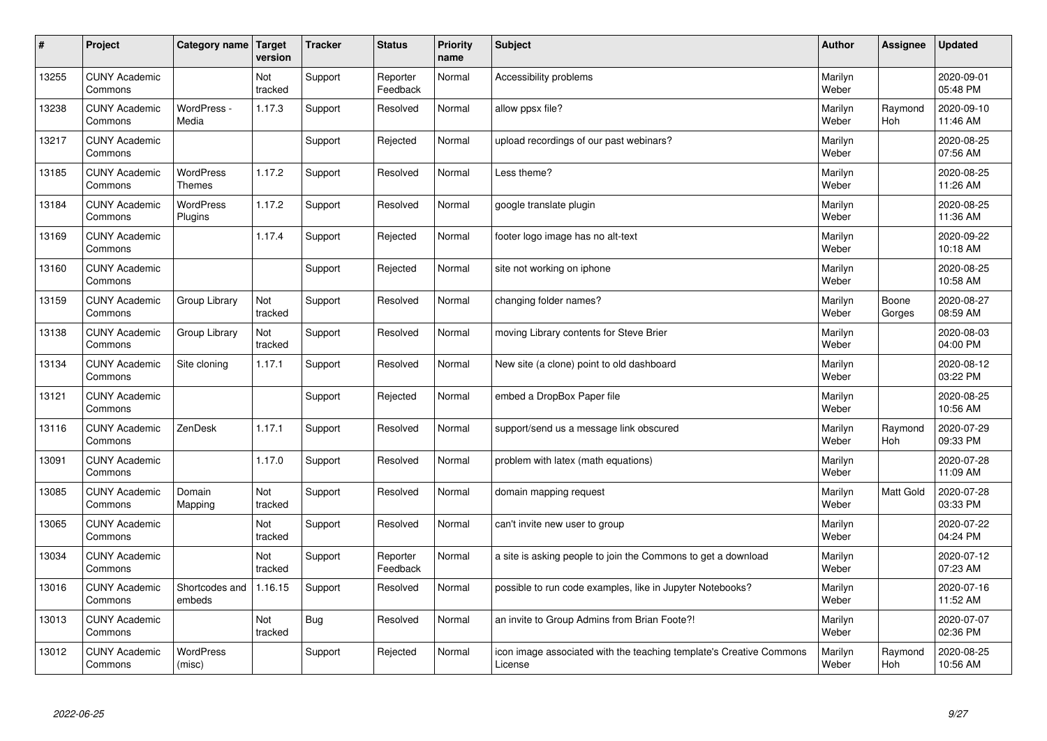| #     | Project                         | Category name   Target            | version        | <b>Tracker</b> | <b>Status</b>        | <b>Priority</b><br>name | <b>Subject</b>                                                                 | <b>Author</b>    | Assignee              | <b>Updated</b>         |
|-------|---------------------------------|-----------------------------------|----------------|----------------|----------------------|-------------------------|--------------------------------------------------------------------------------|------------------|-----------------------|------------------------|
| 13255 | <b>CUNY Academic</b><br>Commons |                                   | Not<br>tracked | Support        | Reporter<br>Feedback | Normal                  | Accessibility problems                                                         | Marilyn<br>Weber |                       | 2020-09-01<br>05:48 PM |
| 13238 | <b>CUNY Academic</b><br>Commons | WordPress -<br>Media              | 1.17.3         | Support        | Resolved             | Normal                  | allow ppsx file?                                                               | Marilyn<br>Weber | Raymond<br><b>Hoh</b> | 2020-09-10<br>11:46 AM |
| 13217 | <b>CUNY Academic</b><br>Commons |                                   |                | Support        | Rejected             | Normal                  | upload recordings of our past webinars?                                        | Marilyn<br>Weber |                       | 2020-08-25<br>07:56 AM |
| 13185 | <b>CUNY Academic</b><br>Commons | <b>WordPress</b><br><b>Themes</b> | 1.17.2         | Support        | Resolved             | Normal                  | Less theme?                                                                    | Marilyn<br>Weber |                       | 2020-08-25<br>11:26 AM |
| 13184 | <b>CUNY Academic</b><br>Commons | <b>WordPress</b><br>Plugins       | 1.17.2         | Support        | Resolved             | Normal                  | google translate plugin                                                        | Marilyn<br>Weber |                       | 2020-08-25<br>11:36 AM |
| 13169 | <b>CUNY Academic</b><br>Commons |                                   | 1.17.4         | Support        | Rejected             | Normal                  | footer logo image has no alt-text                                              | Marilyn<br>Weber |                       | 2020-09-22<br>10:18 AM |
| 13160 | <b>CUNY Academic</b><br>Commons |                                   |                | Support        | Rejected             | Normal                  | site not working on iphone                                                     | Marilyn<br>Weber |                       | 2020-08-25<br>10:58 AM |
| 13159 | <b>CUNY Academic</b><br>Commons | Group Library                     | Not<br>tracked | Support        | Resolved             | Normal                  | changing folder names?                                                         | Marilyn<br>Weber | Boone<br>Gorges       | 2020-08-27<br>08:59 AM |
| 13138 | <b>CUNY Academic</b><br>Commons | Group Library                     | Not<br>tracked | Support        | Resolved             | Normal                  | moving Library contents for Steve Brier                                        | Marilyn<br>Weber |                       | 2020-08-03<br>04:00 PM |
| 13134 | <b>CUNY Academic</b><br>Commons | Site cloning                      | 1.17.1         | Support        | Resolved             | Normal                  | New site (a clone) point to old dashboard                                      | Marilyn<br>Weber |                       | 2020-08-12<br>03:22 PM |
| 13121 | <b>CUNY Academic</b><br>Commons |                                   |                | Support        | Rejected             | Normal                  | embed a DropBox Paper file                                                     | Marilyn<br>Weber |                       | 2020-08-25<br>10:56 AM |
| 13116 | <b>CUNY Academic</b><br>Commons | ZenDesk                           | 1.17.1         | Support        | Resolved             | Normal                  | support/send us a message link obscured                                        | Marilyn<br>Weber | Raymond<br>Hoh        | 2020-07-29<br>09:33 PM |
| 13091 | <b>CUNY Academic</b><br>Commons |                                   | 1.17.0         | Support        | Resolved             | Normal                  | problem with latex (math equations)                                            | Marilyn<br>Weber |                       | 2020-07-28<br>11:09 AM |
| 13085 | <b>CUNY Academic</b><br>Commons | Domain<br>Mapping                 | Not<br>tracked | Support        | Resolved             | Normal                  | domain mapping request                                                         | Marilyn<br>Weber | Matt Gold             | 2020-07-28<br>03:33 PM |
| 13065 | <b>CUNY Academic</b><br>Commons |                                   | Not<br>tracked | Support        | Resolved             | Normal                  | can't invite new user to group                                                 | Marilyn<br>Weber |                       | 2020-07-22<br>04:24 PM |
| 13034 | <b>CUNY Academic</b><br>Commons |                                   | Not<br>tracked | Support        | Reporter<br>Feedback | Normal                  | a site is asking people to join the Commons to get a download                  | Marilyn<br>Weber |                       | 2020-07-12<br>07:23 AM |
| 13016 | <b>CUNY Academic</b><br>Commons | Shortcodes and<br>embeds          | 1.16.15        | Support        | Resolved             | Normal                  | possible to run code examples, like in Jupyter Notebooks?                      | Marilyn<br>Weber |                       | 2020-07-16<br>11:52 AM |
| 13013 | <b>CUNY Academic</b><br>Commons |                                   | Not<br>tracked | <b>Bug</b>     | Resolved             | Normal                  | an invite to Group Admins from Brian Foote?!                                   | Marilyn<br>Weber |                       | 2020-07-07<br>02:36 PM |
| 13012 | <b>CUNY Academic</b><br>Commons | <b>WordPress</b><br>(misc)        |                | Support        | Rejected             | Normal                  | icon image associated with the teaching template's Creative Commons<br>License | Marilyn<br>Weber | Raymond<br>Hoh        | 2020-08-25<br>10:56 AM |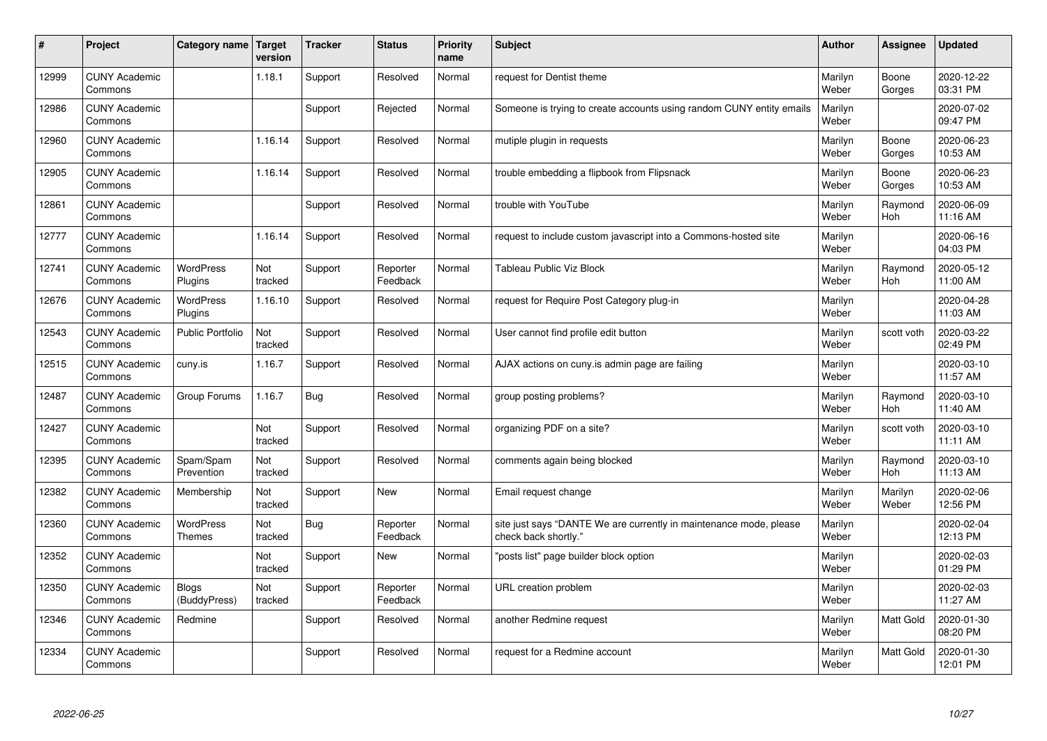| #     | Project                         | Category name                     | Target<br>version | <b>Tracker</b> | <b>Status</b>        | <b>Priority</b><br>name | <b>Subject</b>                                                                             | <b>Author</b>    | Assignee              | Updated                |
|-------|---------------------------------|-----------------------------------|-------------------|----------------|----------------------|-------------------------|--------------------------------------------------------------------------------------------|------------------|-----------------------|------------------------|
| 12999 | <b>CUNY Academic</b><br>Commons |                                   | 1.18.1            | Support        | Resolved             | Normal                  | request for Dentist theme                                                                  | Marilyn<br>Weber | Boone<br>Gorges       | 2020-12-22<br>03:31 PM |
| 12986 | <b>CUNY Academic</b><br>Commons |                                   |                   | Support        | Rejected             | Normal                  | Someone is trying to create accounts using random CUNY entity emails                       | Marilyn<br>Weber |                       | 2020-07-02<br>09:47 PM |
| 12960 | <b>CUNY Academic</b><br>Commons |                                   | 1.16.14           | Support        | Resolved             | Normal                  | mutiple plugin in requests                                                                 | Marilyn<br>Weber | Boone<br>Gorges       | 2020-06-23<br>10:53 AM |
| 12905 | <b>CUNY Academic</b><br>Commons |                                   | 1.16.14           | Support        | Resolved             | Normal                  | trouble embedding a flipbook from Flipsnack                                                | Marilyn<br>Weber | Boone<br>Gorges       | 2020-06-23<br>10:53 AM |
| 12861 | <b>CUNY Academic</b><br>Commons |                                   |                   | Support        | Resolved             | Normal                  | trouble with YouTube                                                                       | Marilyn<br>Weber | Raymond<br>Hoh        | 2020-06-09<br>11:16 AM |
| 12777 | <b>CUNY Academic</b><br>Commons |                                   | 1.16.14           | Support        | Resolved             | Normal                  | request to include custom javascript into a Commons-hosted site                            | Marilyn<br>Weber |                       | 2020-06-16<br>04:03 PM |
| 12741 | <b>CUNY Academic</b><br>Commons | <b>WordPress</b><br>Plugins       | Not<br>tracked    | Support        | Reporter<br>Feedback | Normal                  | <b>Tableau Public Viz Block</b>                                                            | Marilyn<br>Weber | Raymond<br><b>Hoh</b> | 2020-05-12<br>11:00 AM |
| 12676 | <b>CUNY Academic</b><br>Commons | WordPress<br>Plugins              | 1.16.10           | Support        | Resolved             | Normal                  | request for Require Post Category plug-in                                                  | Marilyn<br>Weber |                       | 2020-04-28<br>11:03 AM |
| 12543 | <b>CUNY Academic</b><br>Commons | <b>Public Portfolio</b>           | Not<br>tracked    | Support        | Resolved             | Normal                  | User cannot find profile edit button                                                       | Marilyn<br>Weber | scott voth            | 2020-03-22<br>02:49 PM |
| 12515 | <b>CUNY Academic</b><br>Commons | cuny.is                           | 1.16.7            | Support        | Resolved             | Normal                  | AJAX actions on cuny is admin page are failing                                             | Marilyn<br>Weber |                       | 2020-03-10<br>11:57 AM |
| 12487 | <b>CUNY Academic</b><br>Commons | Group Forums                      | 1.16.7            | Bug            | Resolved             | Normal                  | group posting problems?                                                                    | Marilyn<br>Weber | Raymond<br>Hoh        | 2020-03-10<br>11:40 AM |
| 12427 | <b>CUNY Academic</b><br>Commons |                                   | Not<br>tracked    | Support        | Resolved             | Normal                  | organizing PDF on a site?                                                                  | Marilyn<br>Weber | scott voth            | 2020-03-10<br>11:11 AM |
| 12395 | <b>CUNY Academic</b><br>Commons | Spam/Spam<br>Prevention           | Not<br>tracked    | Support        | Resolved             | Normal                  | comments again being blocked                                                               | Marilyn<br>Weber | Raymond<br>Hoh        | 2020-03-10<br>11:13 AM |
| 12382 | <b>CUNY Academic</b><br>Commons | Membership                        | Not<br>tracked    | Support        | <b>New</b>           | Normal                  | Email request change                                                                       | Marilyn<br>Weber | Marilyn<br>Weber      | 2020-02-06<br>12:56 PM |
| 12360 | <b>CUNY Academic</b><br>Commons | <b>WordPress</b><br><b>Themes</b> | Not<br>tracked    | Bug            | Reporter<br>Feedback | Normal                  | site just says "DANTE We are currently in maintenance mode, please<br>check back shortly." | Marilyn<br>Weber |                       | 2020-02-04<br>12:13 PM |
| 12352 | <b>CUNY Academic</b><br>Commons |                                   | Not<br>tracked    | Support        | New                  | Normal                  | 'posts list" page builder block option                                                     | Marilyn<br>Weber |                       | 2020-02-03<br>01:29 PM |
| 12350 | <b>CUNY Academic</b><br>Commons | <b>Blogs</b><br>(BuddyPress)      | Not<br>tracked    | Support        | Reporter<br>Feedback | Normal                  | URL creation problem                                                                       | Marilyn<br>Weber |                       | 2020-02-03<br>11:27 AM |
| 12346 | <b>CUNY Academic</b><br>Commons | Redmine                           |                   | Support        | Resolved             | Normal                  | another Redmine request                                                                    | Marilyn<br>Weber | <b>Matt Gold</b>      | 2020-01-30<br>08:20 PM |
| 12334 | <b>CUNY Academic</b><br>Commons |                                   |                   | Support        | Resolved             | Normal                  | request for a Redmine account                                                              | Marilyn<br>Weber | <b>Matt Gold</b>      | 2020-01-30<br>12:01 PM |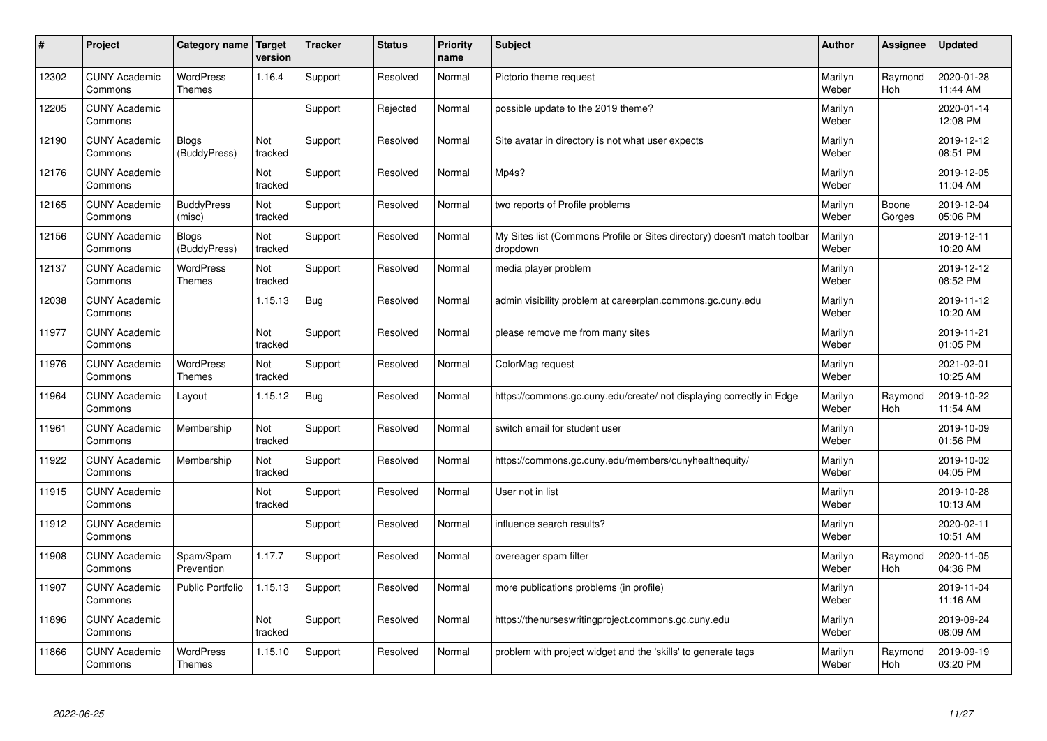| $\pmb{\#}$ | Project                         | Category name                     | <b>Target</b><br>version | <b>Tracker</b> | <b>Status</b> | <b>Priority</b><br>name | <b>Subject</b>                                                                       | <b>Author</b>    | Assignee        | <b>Updated</b>         |
|------------|---------------------------------|-----------------------------------|--------------------------|----------------|---------------|-------------------------|--------------------------------------------------------------------------------------|------------------|-----------------|------------------------|
| 12302      | <b>CUNY Academic</b><br>Commons | <b>WordPress</b><br>Themes        | 1.16.4                   | Support        | Resolved      | Normal                  | Pictorio theme request                                                               | Marilyn<br>Weber | Raymond<br>Hoh  | 2020-01-28<br>11:44 AM |
| 12205      | <b>CUNY Academic</b><br>Commons |                                   |                          | Support        | Rejected      | Normal                  | possible update to the 2019 theme?                                                   | Marilyn<br>Weber |                 | 2020-01-14<br>12:08 PM |
| 12190      | <b>CUNY Academic</b><br>Commons | <b>Blogs</b><br>(BuddyPress)      | Not<br>tracked           | Support        | Resolved      | Normal                  | Site avatar in directory is not what user expects                                    | Marilyn<br>Weber |                 | 2019-12-12<br>08:51 PM |
| 12176      | <b>CUNY Academic</b><br>Commons |                                   | Not<br>tracked           | Support        | Resolved      | Normal                  | Mp4s?                                                                                | Marilyn<br>Weber |                 | 2019-12-05<br>11:04 AM |
| 12165      | <b>CUNY Academic</b><br>Commons | <b>BuddyPress</b><br>(misc)       | Not<br>tracked           | Support        | Resolved      | Normal                  | two reports of Profile problems                                                      | Marilyn<br>Weber | Boone<br>Gorges | 2019-12-04<br>05:06 PM |
| 12156      | <b>CUNY Academic</b><br>Commons | <b>Blogs</b><br>(BuddyPress)      | Not<br>tracked           | Support        | Resolved      | Normal                  | My Sites list (Commons Profile or Sites directory) doesn't match toolbar<br>dropdown | Marilyn<br>Weber |                 | 2019-12-11<br>10:20 AM |
| 12137      | <b>CUNY Academic</b><br>Commons | <b>WordPress</b><br><b>Themes</b> | Not<br>tracked           | Support        | Resolved      | Normal                  | media player problem                                                                 | Marilyn<br>Weber |                 | 2019-12-12<br>08:52 PM |
| 12038      | <b>CUNY Academic</b><br>Commons |                                   | 1.15.13                  | Bug            | Resolved      | Normal                  | admin visibility problem at careerplan.commons.gc.cuny.edu                           | Marilyn<br>Weber |                 | 2019-11-12<br>10:20 AM |
| 11977      | <b>CUNY Academic</b><br>Commons |                                   | Not<br>tracked           | Support        | Resolved      | Normal                  | please remove me from many sites                                                     | Marilyn<br>Weber |                 | 2019-11-21<br>01:05 PM |
| 11976      | <b>CUNY Academic</b><br>Commons | WordPress<br><b>Themes</b>        | Not<br>tracked           | Support        | Resolved      | Normal                  | ColorMag request                                                                     | Marilyn<br>Weber |                 | 2021-02-01<br>10:25 AM |
| 11964      | <b>CUNY Academic</b><br>Commons | Layout                            | 1.15.12                  | Bug            | Resolved      | Normal                  | https://commons.gc.cuny.edu/create/ not displaying correctly in Edge                 | Marilyn<br>Weber | Raymond<br>Hoh  | 2019-10-22<br>11:54 AM |
| 11961      | <b>CUNY Academic</b><br>Commons | Membership                        | Not<br>tracked           | Support        | Resolved      | Normal                  | switch email for student user                                                        | Marilyn<br>Weber |                 | 2019-10-09<br>01:56 PM |
| 11922      | <b>CUNY Academic</b><br>Commons | Membership                        | Not<br>tracked           | Support        | Resolved      | Normal                  | https://commons.gc.cuny.edu/members/cunyhealthequity/                                | Marilyn<br>Weber |                 | 2019-10-02<br>04:05 PM |
| 11915      | <b>CUNY Academic</b><br>Commons |                                   | Not<br>tracked           | Support        | Resolved      | Normal                  | User not in list                                                                     | Marilyn<br>Weber |                 | 2019-10-28<br>10:13 AM |
| 11912      | <b>CUNY Academic</b><br>Commons |                                   |                          | Support        | Resolved      | Normal                  | influence search results?                                                            | Marilyn<br>Weber |                 | 2020-02-11<br>10:51 AM |
| 11908      | <b>CUNY Academic</b><br>Commons | Spam/Spam<br>Prevention           | 1.17.7                   | Support        | Resolved      | Normal                  | overeager spam filter                                                                | Marilyn<br>Weber | Raymond<br>Hoh  | 2020-11-05<br>04:36 PM |
| 11907      | <b>CUNY Academic</b><br>Commons | <b>Public Portfolio</b>           | 1.15.13                  | Support        | Resolved      | Normal                  | more publications problems (in profile)                                              | Marilyn<br>Weber |                 | 2019-11-04<br>11:16 AM |
| 11896      | <b>CUNY Academic</b><br>Commons |                                   | Not<br>tracked           | Support        | Resolved      | Normal                  | https://thenurseswritingproject.commons.gc.cuny.edu                                  | Marilyn<br>Weber |                 | 2019-09-24<br>08:09 AM |
| 11866      | <b>CUNY Academic</b><br>Commons | <b>WordPress</b><br><b>Themes</b> | 1.15.10                  | Support        | Resolved      | Normal                  | problem with project widget and the 'skills' to generate tags                        | Marilyn<br>Weber | Raymond<br>Hoh  | 2019-09-19<br>03:20 PM |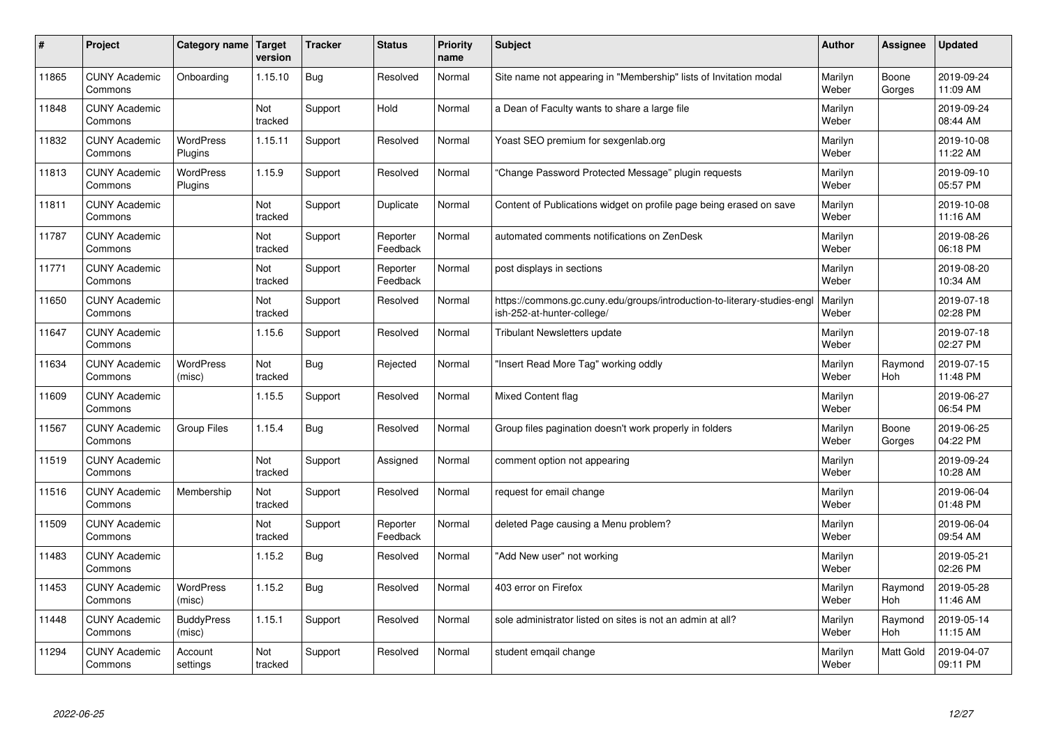| #     | Project                         | Category name               | Target<br>version | <b>Tracker</b> | <b>Status</b>        | <b>Priority</b><br>name | <b>Subject</b>                                                                                         | <b>Author</b>    | Assignee        | <b>Updated</b>         |
|-------|---------------------------------|-----------------------------|-------------------|----------------|----------------------|-------------------------|--------------------------------------------------------------------------------------------------------|------------------|-----------------|------------------------|
| 11865 | <b>CUNY Academic</b><br>Commons | Onboarding                  | 1.15.10           | Bug            | Resolved             | Normal                  | Site name not appearing in "Membership" lists of Invitation modal                                      | Marilyn<br>Weber | Boone<br>Gorges | 2019-09-24<br>11:09 AM |
| 11848 | <b>CUNY Academic</b><br>Commons |                             | Not<br>tracked    | Support        | Hold                 | Normal                  | a Dean of Faculty wants to share a large file                                                          | Marilyn<br>Weber |                 | 2019-09-24<br>08:44 AM |
| 11832 | <b>CUNY Academic</b><br>Commons | <b>WordPress</b><br>Plugins | 1.15.11           | Support        | Resolved             | Normal                  | Yoast SEO premium for sexgenlab.org                                                                    | Marilyn<br>Weber |                 | 2019-10-08<br>11:22 AM |
| 11813 | <b>CUNY Academic</b><br>Commons | <b>WordPress</b><br>Plugins | 1.15.9            | Support        | Resolved             | Normal                  | 'Change Password Protected Message" plugin requests                                                    | Marilyn<br>Weber |                 | 2019-09-10<br>05:57 PM |
| 11811 | <b>CUNY Academic</b><br>Commons |                             | Not<br>tracked    | Support        | Duplicate            | Normal                  | Content of Publications widget on profile page being erased on save                                    | Marilyn<br>Weber |                 | 2019-10-08<br>11:16 AM |
| 11787 | <b>CUNY Academic</b><br>Commons |                             | Not<br>tracked    | Support        | Reporter<br>Feedback | Normal                  | automated comments notifications on ZenDesk                                                            | Marilyn<br>Weber |                 | 2019-08-26<br>06:18 PM |
| 11771 | <b>CUNY Academic</b><br>Commons |                             | Not<br>tracked    | Support        | Reporter<br>Feedback | Normal                  | post displays in sections                                                                              | Marilyn<br>Weber |                 | 2019-08-20<br>10:34 AM |
| 11650 | <b>CUNY Academic</b><br>Commons |                             | Not<br>tracked    | Support        | Resolved             | Normal                  | https://commons.gc.cuny.edu/groups/introduction-to-literary-studies-engl<br>ish-252-at-hunter-college/ | Marilyn<br>Weber |                 | 2019-07-18<br>02:28 PM |
| 11647 | <b>CUNY Academic</b><br>Commons |                             | 1.15.6            | Support        | Resolved             | Normal                  | <b>Tribulant Newsletters update</b>                                                                    | Marilyn<br>Weber |                 | 2019-07-18<br>02:27 PM |
| 11634 | <b>CUNY Academic</b><br>Commons | <b>WordPress</b><br>(misc)  | Not<br>tracked    | <b>Bug</b>     | Rejected             | Normal                  | 'Insert Read More Tag" working oddly                                                                   | Marilyn<br>Weber | Raymond<br>Hoh  | 2019-07-15<br>11:48 PM |
| 11609 | <b>CUNY Academic</b><br>Commons |                             | 1.15.5            | Support        | Resolved             | Normal                  | <b>Mixed Content flag</b>                                                                              | Marilyn<br>Weber |                 | 2019-06-27<br>06:54 PM |
| 11567 | <b>CUNY Academic</b><br>Commons | Group Files                 | 1.15.4            | <b>Bug</b>     | Resolved             | Normal                  | Group files pagination doesn't work properly in folders                                                | Marilyn<br>Weber | Boone<br>Gorges | 2019-06-25<br>04:22 PM |
| 11519 | <b>CUNY Academic</b><br>Commons |                             | Not<br>tracked    | Support        | Assigned             | Normal                  | comment option not appearing                                                                           | Marilyn<br>Weber |                 | 2019-09-24<br>10:28 AM |
| 11516 | <b>CUNY Academic</b><br>Commons | Membership                  | Not<br>tracked    | Support        | Resolved             | Normal                  | request for email change                                                                               | Marilyn<br>Weber |                 | 2019-06-04<br>01:48 PM |
| 11509 | <b>CUNY Academic</b><br>Commons |                             | Not<br>tracked    | Support        | Reporter<br>Feedback | Normal                  | deleted Page causing a Menu problem?                                                                   | Marilyn<br>Weber |                 | 2019-06-04<br>09:54 AM |
| 11483 | <b>CUNY Academic</b><br>Commons |                             | 1.15.2            | <b>Bug</b>     | Resolved             | Normal                  | "Add New user" not working                                                                             | Marilyn<br>Weber |                 | 2019-05-21<br>02:26 PM |
| 11453 | <b>CUNY Academic</b><br>Commons | WordPress<br>(misc)         | 1.15.2            | <b>Bug</b>     | Resolved             | Normal                  | 403 error on Firefox                                                                                   | Marilyn<br>Weber | Raymond<br>Hoh  | 2019-05-28<br>11:46 AM |
| 11448 | <b>CUNY Academic</b><br>Commons | <b>BuddyPress</b><br>(misc) | 1.15.1            | Support        | Resolved             | Normal                  | sole administrator listed on sites is not an admin at all?                                             | Marilyn<br>Weber | Raymond<br>Hoh  | 2019-05-14<br>11:15 AM |
| 11294 | <b>CUNY Academic</b><br>Commons | Account<br>settings         | Not<br>tracked    | Support        | Resolved             | Normal                  | student emgail change                                                                                  | Marilyn<br>Weber | Matt Gold       | 2019-04-07<br>09:11 PM |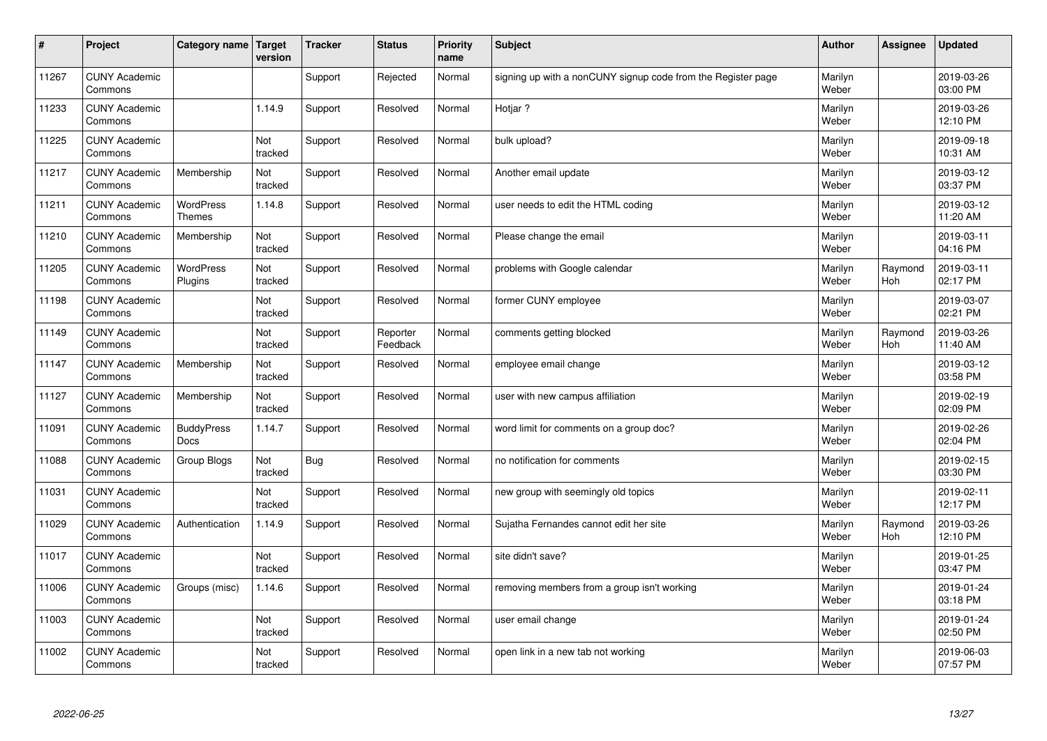| $\sharp$ | Project                         | Category name   Target            | version        | <b>Tracker</b> | <b>Status</b>        | <b>Priority</b><br>name | <b>Subject</b>                                               | <b>Author</b>    | Assignee       | <b>Updated</b>         |
|----------|---------------------------------|-----------------------------------|----------------|----------------|----------------------|-------------------------|--------------------------------------------------------------|------------------|----------------|------------------------|
| 11267    | <b>CUNY Academic</b><br>Commons |                                   |                | Support        | Rejected             | Normal                  | signing up with a nonCUNY signup code from the Register page | Marilyn<br>Weber |                | 2019-03-26<br>03:00 PM |
| 11233    | <b>CUNY Academic</b><br>Commons |                                   | 1.14.9         | Support        | Resolved             | Normal                  | Hotiar?                                                      | Marilyn<br>Weber |                | 2019-03-26<br>12:10 PM |
| 11225    | <b>CUNY Academic</b><br>Commons |                                   | Not<br>tracked | Support        | Resolved             | Normal                  | bulk upload?                                                 | Marilyn<br>Weber |                | 2019-09-18<br>10:31 AM |
| 11217    | <b>CUNY Academic</b><br>Commons | Membership                        | Not<br>tracked | Support        | Resolved             | Normal                  | Another email update                                         | Marilyn<br>Weber |                | 2019-03-12<br>03:37 PM |
| 11211    | <b>CUNY Academic</b><br>Commons | <b>WordPress</b><br><b>Themes</b> | 1.14.8         | Support        | Resolved             | Normal                  | user needs to edit the HTML coding                           | Marilyn<br>Weber |                | 2019-03-12<br>11:20 AM |
| 11210    | <b>CUNY Academic</b><br>Commons | Membership                        | Not<br>tracked | Support        | Resolved             | Normal                  | Please change the email                                      | Marilyn<br>Weber |                | 2019-03-11<br>04:16 PM |
| 11205    | <b>CUNY Academic</b><br>Commons | <b>WordPress</b><br>Plugins       | Not<br>tracked | Support        | Resolved             | Normal                  | problems with Google calendar                                | Marilyn<br>Weber | Raymond<br>Hoh | 2019-03-11<br>02:17 PM |
| 11198    | <b>CUNY Academic</b><br>Commons |                                   | Not<br>tracked | Support        | Resolved             | Normal                  | former CUNY employee                                         | Marilyn<br>Weber |                | 2019-03-07<br>02:21 PM |
| 11149    | <b>CUNY Academic</b><br>Commons |                                   | Not<br>tracked | Support        | Reporter<br>Feedback | Normal                  | comments getting blocked                                     | Marilyn<br>Weber | Raymond<br>Hoh | 2019-03-26<br>11:40 AM |
| 11147    | <b>CUNY Academic</b><br>Commons | Membership                        | Not<br>tracked | Support        | Resolved             | Normal                  | employee email change                                        | Marilyn<br>Weber |                | 2019-03-12<br>03:58 PM |
| 11127    | <b>CUNY Academic</b><br>Commons | Membership                        | Not<br>tracked | Support        | Resolved             | Normal                  | user with new campus affiliation                             | Marilyn<br>Weber |                | 2019-02-19<br>02:09 PM |
| 11091    | <b>CUNY Academic</b><br>Commons | <b>BuddyPress</b><br><b>Docs</b>  | 1.14.7         | Support        | Resolved             | Normal                  | word limit for comments on a group doc?                      | Marilyn<br>Weber |                | 2019-02-26<br>02:04 PM |
| 11088    | <b>CUNY Academic</b><br>Commons | Group Blogs                       | Not<br>tracked | Bug            | Resolved             | Normal                  | no notification for comments                                 | Marilyn<br>Weber |                | 2019-02-15<br>03:30 PM |
| 11031    | <b>CUNY Academic</b><br>Commons |                                   | Not<br>tracked | Support        | Resolved             | Normal                  | new group with seemingly old topics                          | Marilyn<br>Weber |                | 2019-02-11<br>12:17 PM |
| 11029    | <b>CUNY Academic</b><br>Commons | Authentication                    | 1.14.9         | Support        | Resolved             | Normal                  | Sujatha Fernandes cannot edit her site                       | Marilyn<br>Weber | Raymond<br>Hoh | 2019-03-26<br>12:10 PM |
| 11017    | <b>CUNY Academic</b><br>Commons |                                   | Not<br>tracked | Support        | Resolved             | Normal                  | site didn't save?                                            | Marilyn<br>Weber |                | 2019-01-25<br>03:47 PM |
| 11006    | <b>CUNY Academic</b><br>Commons | Groups (misc)                     | 1.14.6         | Support        | Resolved             | Normal                  | removing members from a group isn't working                  | Marilyn<br>Weber |                | 2019-01-24<br>03:18 PM |
| 11003    | <b>CUNY Academic</b><br>Commons |                                   | Not<br>tracked | Support        | Resolved             | Normal                  | user email change                                            | Marilyn<br>Weber |                | 2019-01-24<br>02:50 PM |
| 11002    | <b>CUNY Academic</b><br>Commons |                                   | Not<br>tracked | Support        | Resolved             | Normal                  | open link in a new tab not working                           | Marilyn<br>Weber |                | 2019-06-03<br>07:57 PM |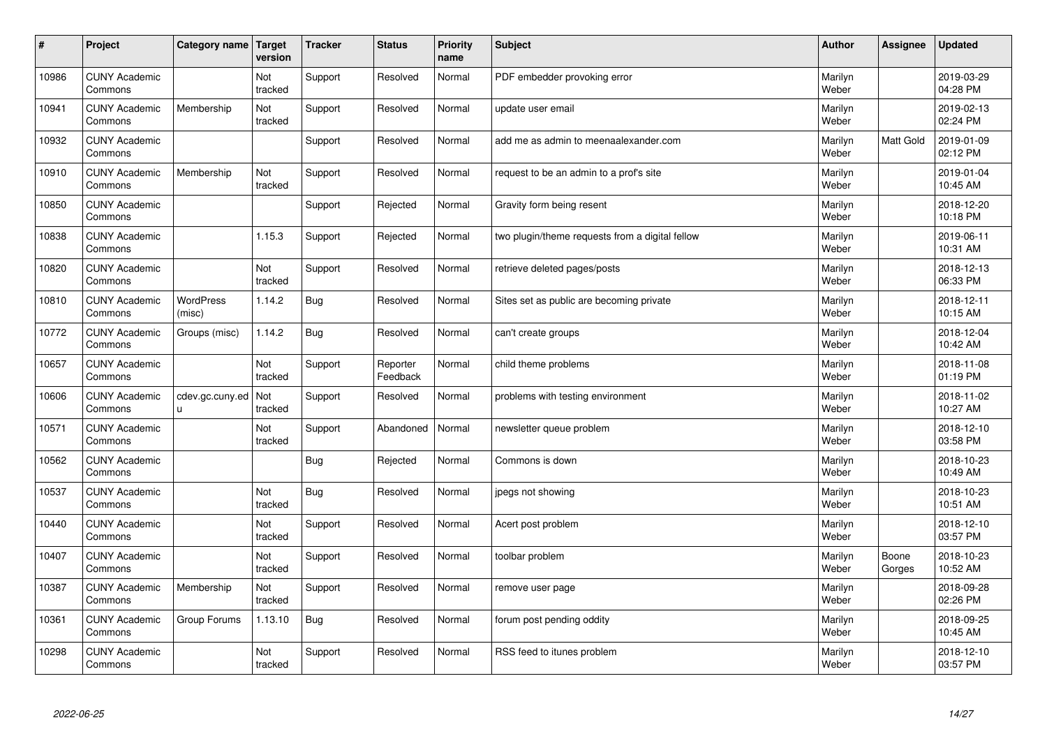| #     | Project                         | Category name   Target | version        | <b>Tracker</b> | <b>Status</b>        | <b>Priority</b><br>name | <b>Subject</b>                                  | <b>Author</b>    | Assignee        | <b>Updated</b>         |
|-------|---------------------------------|------------------------|----------------|----------------|----------------------|-------------------------|-------------------------------------------------|------------------|-----------------|------------------------|
| 10986 | <b>CUNY Academic</b><br>Commons |                        | Not<br>tracked | Support        | Resolved             | Normal                  | PDF embedder provoking error                    | Marilyn<br>Weber |                 | 2019-03-29<br>04:28 PM |
| 10941 | <b>CUNY Academic</b><br>Commons | Membership             | Not<br>tracked | Support        | Resolved             | Normal                  | update user email                               | Marilyn<br>Weber |                 | 2019-02-13<br>02:24 PM |
| 10932 | <b>CUNY Academic</b><br>Commons |                        |                | Support        | Resolved             | Normal                  | add me as admin to meenaalexander.com           | Marilyn<br>Weber | Matt Gold       | 2019-01-09<br>02:12 PM |
| 10910 | <b>CUNY Academic</b><br>Commons | Membership             | Not<br>tracked | Support        | Resolved             | Normal                  | request to be an admin to a prof's site         | Marilyn<br>Weber |                 | 2019-01-04<br>10:45 AM |
| 10850 | <b>CUNY Academic</b><br>Commons |                        |                | Support        | Rejected             | Normal                  | Gravity form being resent                       | Marilyn<br>Weber |                 | 2018-12-20<br>10:18 PM |
| 10838 | <b>CUNY Academic</b><br>Commons |                        | 1.15.3         | Support        | Rejected             | Normal                  | two plugin/theme requests from a digital fellow | Marilyn<br>Weber |                 | 2019-06-11<br>10:31 AM |
| 10820 | <b>CUNY Academic</b><br>Commons |                        | Not<br>tracked | Support        | Resolved             | Normal                  | retrieve deleted pages/posts                    | Marilyn<br>Weber |                 | 2018-12-13<br>06:33 PM |
| 10810 | <b>CUNY Academic</b><br>Commons | WordPress<br>(misc)    | 1.14.2         | <b>Bug</b>     | Resolved             | Normal                  | Sites set as public are becoming private        | Marilyn<br>Weber |                 | 2018-12-11<br>10:15 AM |
| 10772 | <b>CUNY Academic</b><br>Commons | Groups (misc)          | 1.14.2         | <b>Bug</b>     | Resolved             | Normal                  | can't create groups                             | Marilyn<br>Weber |                 | 2018-12-04<br>10:42 AM |
| 10657 | <b>CUNY Academic</b><br>Commons |                        | Not<br>tracked | Support        | Reporter<br>Feedback | Normal                  | child theme problems                            | Marilyn<br>Weber |                 | 2018-11-08<br>01:19 PM |
| 10606 | <b>CUNY Academic</b><br>Commons | cdev.gc.cuny.ed<br>П   | Not<br>tracked | Support        | Resolved             | Normal                  | problems with testing environment               | Marilyn<br>Weber |                 | 2018-11-02<br>10:27 AM |
| 10571 | <b>CUNY Academic</b><br>Commons |                        | Not<br>tracked | Support        | Abandoned            | Normal                  | newsletter queue problem                        | Marilyn<br>Weber |                 | 2018-12-10<br>03:58 PM |
| 10562 | <b>CUNY Academic</b><br>Commons |                        |                | Bug            | Rejected             | Normal                  | Commons is down                                 | Marilyn<br>Weber |                 | 2018-10-23<br>10:49 AM |
| 10537 | <b>CUNY Academic</b><br>Commons |                        | Not<br>tracked | <b>Bug</b>     | Resolved             | Normal                  | jpegs not showing                               | Marilyn<br>Weber |                 | 2018-10-23<br>10:51 AM |
| 10440 | <b>CUNY Academic</b><br>Commons |                        | Not<br>tracked | Support        | Resolved             | Normal                  | Acert post problem                              | Marilyn<br>Weber |                 | 2018-12-10<br>03:57 PM |
| 10407 | <b>CUNY Academic</b><br>Commons |                        | Not<br>tracked | Support        | Resolved             | Normal                  | toolbar problem                                 | Marilyn<br>Weber | Boone<br>Gorges | 2018-10-23<br>10:52 AM |
| 10387 | <b>CUNY Academic</b><br>Commons | Membership             | Not<br>tracked | Support        | Resolved             | Normal                  | remove user page                                | Marilyn<br>Weber |                 | 2018-09-28<br>02:26 PM |
| 10361 | <b>CUNY Academic</b><br>Commons | Group Forums           | 1.13.10        | <b>Bug</b>     | Resolved             | Normal                  | forum post pending oddity                       | Marilyn<br>Weber |                 | 2018-09-25<br>10:45 AM |
| 10298 | <b>CUNY Academic</b><br>Commons |                        | Not<br>tracked | Support        | Resolved             | Normal                  | RSS feed to itunes problem                      | Marilyn<br>Weber |                 | 2018-12-10<br>03:57 PM |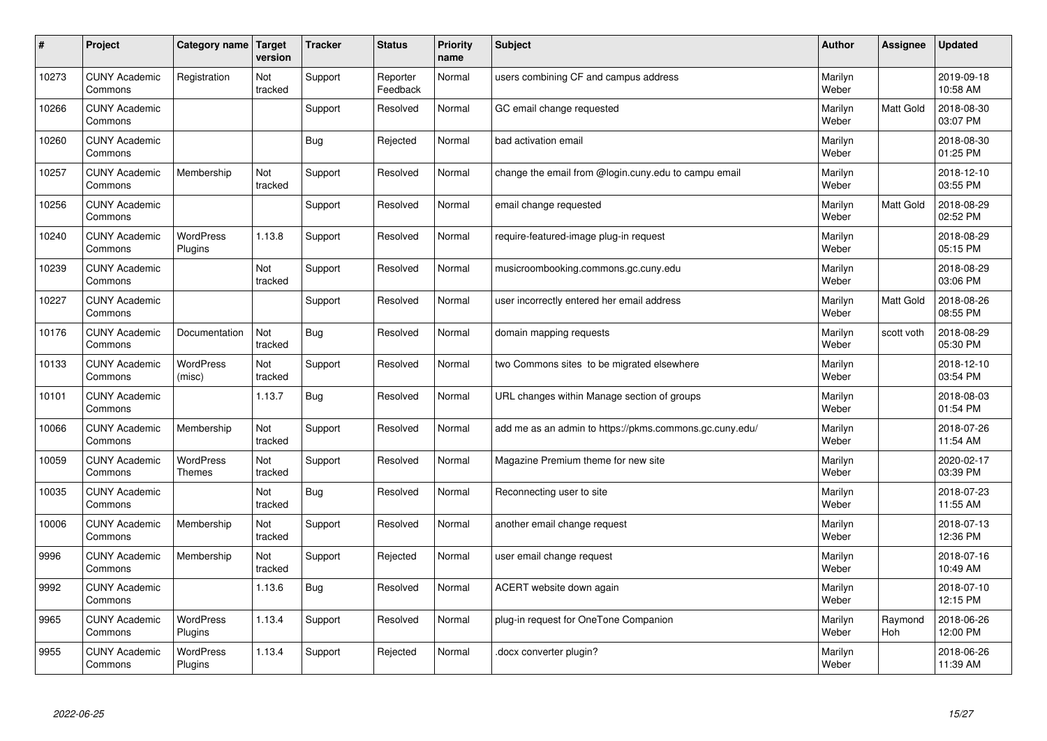| #     | Project                         | Category name   Target      | version        | <b>Tracker</b> | <b>Status</b>        | <b>Priority</b><br>name | <b>Subject</b>                                          | <b>Author</b>    | Assignee         | Updated                |
|-------|---------------------------------|-----------------------------|----------------|----------------|----------------------|-------------------------|---------------------------------------------------------|------------------|------------------|------------------------|
| 10273 | <b>CUNY Academic</b><br>Commons | Registration                | Not<br>tracked | Support        | Reporter<br>Feedback | Normal                  | users combining CF and campus address                   | Marilyn<br>Weber |                  | 2019-09-18<br>10:58 AM |
| 10266 | <b>CUNY Academic</b><br>Commons |                             |                | Support        | Resolved             | Normal                  | GC email change requested                               | Marilyn<br>Weber | <b>Matt Gold</b> | 2018-08-30<br>03:07 PM |
| 10260 | <b>CUNY Academic</b><br>Commons |                             |                | Bug            | Rejected             | Normal                  | bad activation email                                    | Marilyn<br>Weber |                  | 2018-08-30<br>01:25 PM |
| 10257 | <b>CUNY Academic</b><br>Commons | Membership                  | Not<br>tracked | Support        | Resolved             | Normal                  | change the email from @login.cuny.edu to campu email    | Marilyn<br>Weber |                  | 2018-12-10<br>03:55 PM |
| 10256 | <b>CUNY Academic</b><br>Commons |                             |                | Support        | Resolved             | Normal                  | email change requested                                  | Marilyn<br>Weber | Matt Gold        | 2018-08-29<br>02:52 PM |
| 10240 | <b>CUNY Academic</b><br>Commons | <b>WordPress</b><br>Plugins | 1.13.8         | Support        | Resolved             | Normal                  | require-featured-image plug-in request                  | Marilyn<br>Weber |                  | 2018-08-29<br>05:15 PM |
| 10239 | <b>CUNY Academic</b><br>Commons |                             | Not<br>tracked | Support        | Resolved             | Normal                  | musicroombooking.commons.gc.cuny.edu                    | Marilyn<br>Weber |                  | 2018-08-29<br>03:06 PM |
| 10227 | <b>CUNY Academic</b><br>Commons |                             |                | Support        | Resolved             | Normal                  | user incorrectly entered her email address              | Marilyn<br>Weber | Matt Gold        | 2018-08-26<br>08:55 PM |
| 10176 | <b>CUNY Academic</b><br>Commons | Documentation               | Not<br>tracked | Bug            | Resolved             | Normal                  | domain mapping requests                                 | Marilyn<br>Weber | scott voth       | 2018-08-29<br>05:30 PM |
| 10133 | <b>CUNY Academic</b><br>Commons | WordPress<br>(misc)         | Not<br>tracked | Support        | Resolved             | Normal                  | two Commons sites to be migrated elsewhere              | Marilyn<br>Weber |                  | 2018-12-10<br>03:54 PM |
| 10101 | <b>CUNY Academic</b><br>Commons |                             | 1.13.7         | <b>Bug</b>     | Resolved             | Normal                  | URL changes within Manage section of groups             | Marilyn<br>Weber |                  | 2018-08-03<br>01:54 PM |
| 10066 | <b>CUNY Academic</b><br>Commons | Membership                  | Not<br>tracked | Support        | Resolved             | Normal                  | add me as an admin to https://pkms.commons.gc.cuny.edu/ | Marilyn<br>Weber |                  | 2018-07-26<br>11:54 AM |
| 10059 | <b>CUNY Academic</b><br>Commons | WordPress<br><b>Themes</b>  | Not<br>tracked | Support        | Resolved             | Normal                  | Magazine Premium theme for new site                     | Marilyn<br>Weber |                  | 2020-02-17<br>03:39 PM |
| 10035 | <b>CUNY Academic</b><br>Commons |                             | Not<br>tracked | <b>Bug</b>     | Resolved             | Normal                  | Reconnecting user to site                               | Marilyn<br>Weber |                  | 2018-07-23<br>11:55 AM |
| 10006 | <b>CUNY Academic</b><br>Commons | Membership                  | Not<br>tracked | Support        | Resolved             | Normal                  | another email change request                            | Marilyn<br>Weber |                  | 2018-07-13<br>12:36 PM |
| 9996  | <b>CUNY Academic</b><br>Commons | Membership                  | Not<br>tracked | Support        | Rejected             | Normal                  | user email change request                               | Marilyn<br>Weber |                  | 2018-07-16<br>10:49 AM |
| 9992  | <b>CUNY Academic</b><br>Commons |                             | 1.13.6         | Bug            | Resolved             | Normal                  | ACERT website down again                                | Marilyn<br>Weber |                  | 2018-07-10<br>12:15 PM |
| 9965  | <b>CUNY Academic</b><br>Commons | WordPress<br>Plugins        | 1.13.4         | Support        | Resolved             | Normal                  | plug-in request for OneTone Companion                   | Marilyn<br>Weber | Raymond<br>Hoh   | 2018-06-26<br>12:00 PM |
| 9955  | <b>CUNY Academic</b><br>Commons | <b>WordPress</b><br>Plugins | 1.13.4         | Support        | Rejected             | Normal                  | docx converter plugin?                                  | Marilyn<br>Weber |                  | 2018-06-26<br>11:39 AM |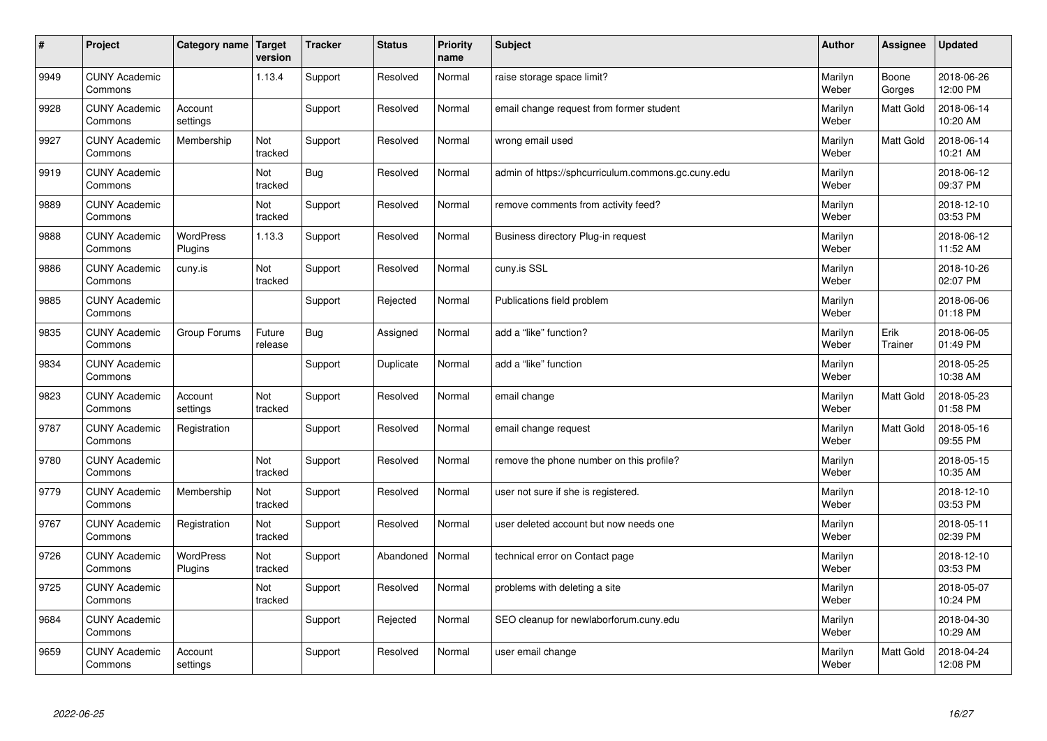| $\sharp$ | Project                         | Category name   Target      | version           | <b>Tracker</b> | <b>Status</b> | <b>Priority</b><br>name | <b>Subject</b>                                     | <b>Author</b>    | Assignee         | <b>Updated</b>         |
|----------|---------------------------------|-----------------------------|-------------------|----------------|---------------|-------------------------|----------------------------------------------------|------------------|------------------|------------------------|
| 9949     | <b>CUNY Academic</b><br>Commons |                             | 1.13.4            | Support        | Resolved      | Normal                  | raise storage space limit?                         | Marilyn<br>Weber | Boone<br>Gorges  | 2018-06-26<br>12:00 PM |
| 9928     | <b>CUNY Academic</b><br>Commons | Account<br>settings         |                   | Support        | Resolved      | Normal                  | email change request from former student           | Marilyn<br>Weber | <b>Matt Gold</b> | 2018-06-14<br>10:20 AM |
| 9927     | <b>CUNY Academic</b><br>Commons | Membership                  | Not<br>tracked    | Support        | Resolved      | Normal                  | wrong email used                                   | Marilyn<br>Weber | Matt Gold        | 2018-06-14<br>10:21 AM |
| 9919     | <b>CUNY Academic</b><br>Commons |                             | Not<br>tracked    | Bug            | Resolved      | Normal                  | admin of https://sphcurriculum.commons.gc.cuny.edu | Marilyn<br>Weber |                  | 2018-06-12<br>09:37 PM |
| 9889     | <b>CUNY Academic</b><br>Commons |                             | Not<br>tracked    | Support        | Resolved      | Normal                  | remove comments from activity feed?                | Marilyn<br>Weber |                  | 2018-12-10<br>03:53 PM |
| 9888     | <b>CUNY Academic</b><br>Commons | <b>WordPress</b><br>Plugins | 1.13.3            | Support        | Resolved      | Normal                  | Business directory Plug-in request                 | Marilyn<br>Weber |                  | 2018-06-12<br>11:52 AM |
| 9886     | <b>CUNY Academic</b><br>Commons | cuny.is                     | Not<br>tracked    | Support        | Resolved      | Normal                  | cuny.is SSL                                        | Marilyn<br>Weber |                  | 2018-10-26<br>02:07 PM |
| 9885     | <b>CUNY Academic</b><br>Commons |                             |                   | Support        | Rejected      | Normal                  | Publications field problem                         | Marilyn<br>Weber |                  | 2018-06-06<br>01:18 PM |
| 9835     | <b>CUNY Academic</b><br>Commons | Group Forums                | Future<br>release | <b>Bug</b>     | Assigned      | Normal                  | add a "like" function?                             | Marilyn<br>Weber | Erik<br>Trainer  | 2018-06-05<br>01:49 PM |
| 9834     | <b>CUNY Academic</b><br>Commons |                             |                   | Support        | Duplicate     | Normal                  | add a "like" function                              | Marilyn<br>Weber |                  | 2018-05-25<br>10:38 AM |
| 9823     | <b>CUNY Academic</b><br>Commons | Account<br>settings         | Not<br>tracked    | Support        | Resolved      | Normal                  | email change                                       | Marilyn<br>Weber | Matt Gold        | 2018-05-23<br>01:58 PM |
| 9787     | <b>CUNY Academic</b><br>Commons | Registration                |                   | Support        | Resolved      | Normal                  | email change request                               | Marilyn<br>Weber | Matt Gold        | 2018-05-16<br>09:55 PM |
| 9780     | <b>CUNY Academic</b><br>Commons |                             | Not<br>tracked    | Support        | Resolved      | Normal                  | remove the phone number on this profile?           | Marilyn<br>Weber |                  | 2018-05-15<br>10:35 AM |
| 9779     | <b>CUNY Academic</b><br>Commons | Membership                  | Not<br>tracked    | Support        | Resolved      | Normal                  | user not sure if she is registered.                | Marilyn<br>Weber |                  | 2018-12-10<br>03:53 PM |
| 9767     | <b>CUNY Academic</b><br>Commons | Registration                | Not<br>tracked    | Support        | Resolved      | Normal                  | user deleted account but now needs one             | Marilyn<br>Weber |                  | 2018-05-11<br>02:39 PM |
| 9726     | <b>CUNY Academic</b><br>Commons | WordPress<br>Plugins        | Not<br>tracked    | Support        | Abandoned     | Normal                  | technical error on Contact page                    | Marilyn<br>Weber |                  | 2018-12-10<br>03:53 PM |
| 9725     | <b>CUNY Academic</b><br>Commons |                             | Not<br>tracked    | Support        | Resolved      | Normal                  | problems with deleting a site                      | Marilyn<br>Weber |                  | 2018-05-07<br>10:24 PM |
| 9684     | <b>CUNY Academic</b><br>Commons |                             |                   | Support        | Rejected      | Normal                  | SEO cleanup for newlaborforum.cuny.edu             | Marilyn<br>Weber |                  | 2018-04-30<br>10:29 AM |
| 9659     | <b>CUNY Academic</b><br>Commons | Account<br>settings         |                   | Support        | Resolved      | Normal                  | user email change                                  | Marilyn<br>Weber | <b>Matt Gold</b> | 2018-04-24<br>12:08 PM |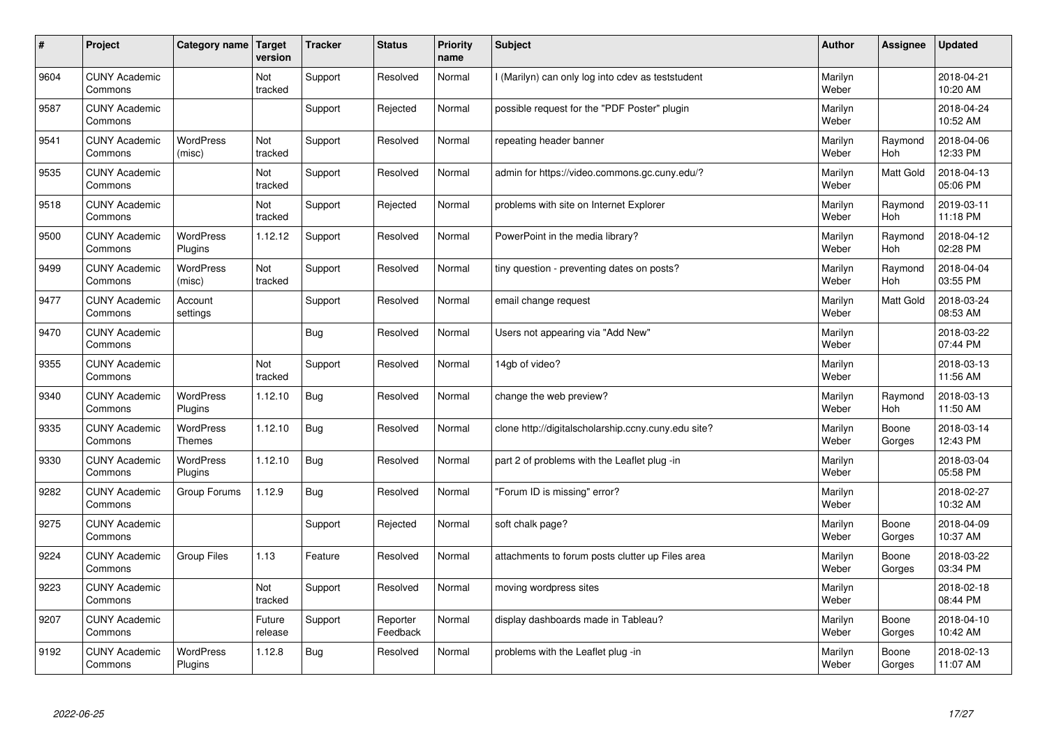| $\sharp$ | Project                         | Category name                     | Target<br>version | <b>Tracker</b> | <b>Status</b>        | <b>Priority</b><br>name | <b>Subject</b>                                      | <b>Author</b>    | Assignee        | Updated                |
|----------|---------------------------------|-----------------------------------|-------------------|----------------|----------------------|-------------------------|-----------------------------------------------------|------------------|-----------------|------------------------|
| 9604     | <b>CUNY Academic</b><br>Commons |                                   | Not<br>tracked    | Support        | Resolved             | Normal                  | I (Marilyn) can only log into cdev as teststudent   | Marilyn<br>Weber |                 | 2018-04-21<br>10:20 AM |
| 9587     | <b>CUNY Academic</b><br>Commons |                                   |                   | Support        | Rejected             | Normal                  | possible request for the "PDF Poster" plugin        | Marilyn<br>Weber |                 | 2018-04-24<br>10:52 AM |
| 9541     | <b>CUNY Academic</b><br>Commons | <b>WordPress</b><br>(misc)        | Not<br>tracked    | Support        | Resolved             | Normal                  | repeating header banner                             | Marilyn<br>Weber | Raymond<br>Hoh  | 2018-04-06<br>12:33 PM |
| 9535     | <b>CUNY Academic</b><br>Commons |                                   | Not<br>tracked    | Support        | Resolved             | Normal                  | admin for https://video.commons.gc.cuny.edu/?       | Marilyn<br>Weber | Matt Gold       | 2018-04-13<br>05:06 PM |
| 9518     | <b>CUNY Academic</b><br>Commons |                                   | Not<br>tracked    | Support        | Rejected             | Normal                  | problems with site on Internet Explorer             | Marilyn<br>Weber | Raymond<br>Hoh  | 2019-03-11<br>11:18 PM |
| 9500     | <b>CUNY Academic</b><br>Commons | <b>WordPress</b><br>Plugins       | 1.12.12           | Support        | Resolved             | Normal                  | PowerPoint in the media library?                    | Marilyn<br>Weber | Raymond<br>Hoh  | 2018-04-12<br>02:28 PM |
| 9499     | <b>CUNY Academic</b><br>Commons | WordPress<br>(misc)               | Not<br>tracked    | Support        | Resolved             | Normal                  | tiny question - preventing dates on posts?          | Marilyn<br>Weber | Raymond<br>Hoh  | 2018-04-04<br>03:55 PM |
| 9477     | <b>CUNY Academic</b><br>Commons | Account<br>settings               |                   | Support        | Resolved             | Normal                  | email change request                                | Marilyn<br>Weber | Matt Gold       | 2018-03-24<br>08:53 AM |
| 9470     | <b>CUNY Academic</b><br>Commons |                                   |                   | Bug            | Resolved             | Normal                  | Users not appearing via "Add New"                   | Marilyn<br>Weber |                 | 2018-03-22<br>07:44 PM |
| 9355     | <b>CUNY Academic</b><br>Commons |                                   | Not<br>tracked    | Support        | Resolved             | Normal                  | 14gb of video?                                      | Marilyn<br>Weber |                 | 2018-03-13<br>11:56 AM |
| 9340     | <b>CUNY Academic</b><br>Commons | <b>WordPress</b><br>Plugins       | 1.12.10           | <b>Bug</b>     | Resolved             | Normal                  | change the web preview?                             | Marilyn<br>Weber | Raymond<br>Hoh  | 2018-03-13<br>11:50 AM |
| 9335     | <b>CUNY Academic</b><br>Commons | <b>WordPress</b><br><b>Themes</b> | 1.12.10           | <b>Bug</b>     | Resolved             | Normal                  | clone http://digitalscholarship.ccny.cuny.edu site? | Marilyn<br>Weber | Boone<br>Gorges | 2018-03-14<br>12:43 PM |
| 9330     | <b>CUNY Academic</b><br>Commons | <b>WordPress</b><br>Plugins       | 1.12.10           | <b>Bug</b>     | Resolved             | Normal                  | part 2 of problems with the Leaflet plug -in        | Marilyn<br>Weber |                 | 2018-03-04<br>05:58 PM |
| 9282     | <b>CUNY Academic</b><br>Commons | Group Forums                      | 1.12.9            | Bug            | Resolved             | Normal                  | 'Forum ID is missing" error?                        | Marilyn<br>Weber |                 | 2018-02-27<br>10:32 AM |
| 9275     | <b>CUNY Academic</b><br>Commons |                                   |                   | Support        | Rejected             | Normal                  | soft chalk page?                                    | Marilyn<br>Weber | Boone<br>Gorges | 2018-04-09<br>10:37 AM |
| 9224     | <b>CUNY Academic</b><br>Commons | <b>Group Files</b>                | 1.13              | Feature        | Resolved             | Normal                  | attachments to forum posts clutter up Files area    | Marilyn<br>Weber | Boone<br>Gorges | 2018-03-22<br>03:34 PM |
| 9223     | <b>CUNY Academic</b><br>Commons |                                   | Not<br>tracked    | Support        | Resolved             | Normal                  | moving wordpress sites                              | Marilyn<br>Weber |                 | 2018-02-18<br>08:44 PM |
| 9207     | <b>CUNY Academic</b><br>Commons |                                   | Future<br>release | Support        | Reporter<br>Feedback | Normal                  | display dashboards made in Tableau?                 | Marilyn<br>Weber | Boone<br>Gorges | 2018-04-10<br>10:42 AM |
| 9192     | <b>CUNY Academic</b><br>Commons | <b>WordPress</b><br>Plugins       | 1.12.8            | Bug            | Resolved             | Normal                  | problems with the Leaflet plug -in                  | Marilyn<br>Weber | Boone<br>Gorges | 2018-02-13<br>11:07 AM |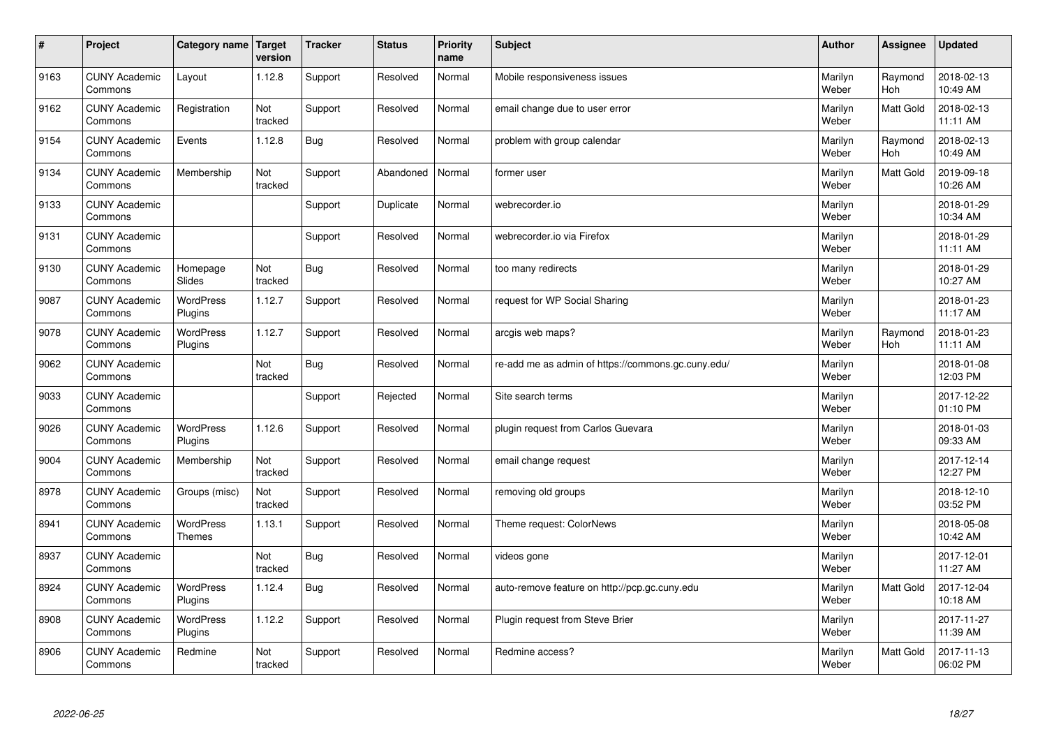| $\sharp$ | Project                         | Category name   Target            | version        | <b>Tracker</b> | <b>Status</b> | <b>Priority</b><br>name | <b>Subject</b>                                     | <b>Author</b>    | Assignee              | <b>Updated</b>         |
|----------|---------------------------------|-----------------------------------|----------------|----------------|---------------|-------------------------|----------------------------------------------------|------------------|-----------------------|------------------------|
| 9163     | <b>CUNY Academic</b><br>Commons | Layout                            | 1.12.8         | Support        | Resolved      | Normal                  | Mobile responsiveness issues                       | Marilyn<br>Weber | Raymond<br><b>Hoh</b> | 2018-02-13<br>10:49 AM |
| 9162     | <b>CUNY Academic</b><br>Commons | Registration                      | Not<br>tracked | Support        | Resolved      | Normal                  | email change due to user error                     | Marilyn<br>Weber | Matt Gold             | 2018-02-13<br>11:11 AM |
| 9154     | <b>CUNY Academic</b><br>Commons | Events                            | 1.12.8         | <b>Bug</b>     | Resolved      | Normal                  | problem with group calendar                        | Marilyn<br>Weber | Raymond<br>Hoh        | 2018-02-13<br>10:49 AM |
| 9134     | <b>CUNY Academic</b><br>Commons | Membership                        | Not<br>tracked | Support        | Abandoned     | Normal                  | former user                                        | Marilyn<br>Weber | <b>Matt Gold</b>      | 2019-09-18<br>10:26 AM |
| 9133     | <b>CUNY Academic</b><br>Commons |                                   |                | Support        | Duplicate     | Normal                  | webrecorder.io                                     | Marilyn<br>Weber |                       | 2018-01-29<br>10:34 AM |
| 9131     | <b>CUNY Academic</b><br>Commons |                                   |                | Support        | Resolved      | Normal                  | webrecorder.io via Firefox                         | Marilyn<br>Weber |                       | 2018-01-29<br>11:11 AM |
| 9130     | <b>CUNY Academic</b><br>Commons | Homepage<br>Slides                | Not<br>tracked | <b>Bug</b>     | Resolved      | Normal                  | too many redirects                                 | Marilyn<br>Weber |                       | 2018-01-29<br>10:27 AM |
| 9087     | <b>CUNY Academic</b><br>Commons | WordPress<br>Plugins              | 1.12.7         | Support        | Resolved      | Normal                  | request for WP Social Sharing                      | Marilyn<br>Weber |                       | 2018-01-23<br>11:17 AM |
| 9078     | <b>CUNY Academic</b><br>Commons | <b>WordPress</b><br>Plugins       | 1.12.7         | Support        | Resolved      | Normal                  | arcgis web maps?                                   | Marilyn<br>Weber | Raymond<br><b>Hoh</b> | 2018-01-23<br>11:11 AM |
| 9062     | <b>CUNY Academic</b><br>Commons |                                   | Not<br>tracked | <b>Bug</b>     | Resolved      | Normal                  | re-add me as admin of https://commons.gc.cuny.edu/ | Marilyn<br>Weber |                       | 2018-01-08<br>12:03 PM |
| 9033     | <b>CUNY Academic</b><br>Commons |                                   |                | Support        | Rejected      | Normal                  | Site search terms                                  | Marilyn<br>Weber |                       | 2017-12-22<br>01:10 PM |
| 9026     | <b>CUNY Academic</b><br>Commons | <b>WordPress</b><br>Plugins       | 1.12.6         | Support        | Resolved      | Normal                  | plugin request from Carlos Guevara                 | Marilyn<br>Weber |                       | 2018-01-03<br>09:33 AM |
| 9004     | <b>CUNY Academic</b><br>Commons | Membership                        | Not<br>tracked | Support        | Resolved      | Normal                  | email change request                               | Marilyn<br>Weber |                       | 2017-12-14<br>12:27 PM |
| 8978     | <b>CUNY Academic</b><br>Commons | Groups (misc)                     | Not<br>tracked | Support        | Resolved      | Normal                  | removing old groups                                | Marilyn<br>Weber |                       | 2018-12-10<br>03:52 PM |
| 8941     | <b>CUNY Academic</b><br>Commons | <b>WordPress</b><br><b>Themes</b> | 1.13.1         | Support        | Resolved      | Normal                  | Theme request: ColorNews                           | Marilyn<br>Weber |                       | 2018-05-08<br>10:42 AM |
| 8937     | <b>CUNY Academic</b><br>Commons |                                   | Not<br>tracked | <b>Bug</b>     | Resolved      | Normal                  | videos gone                                        | Marilyn<br>Weber |                       | 2017-12-01<br>11:27 AM |
| 8924     | <b>CUNY Academic</b><br>Commons | WordPress<br>Plugins              | 1.12.4         | Bug            | Resolved      | Normal                  | auto-remove feature on http://pcp.gc.cuny.edu      | Marilyn<br>Weber | Matt Gold             | 2017-12-04<br>10:18 AM |
| 8908     | <b>CUNY Academic</b><br>Commons | <b>WordPress</b><br>Plugins       | 1.12.2         | Support        | Resolved      | Normal                  | Plugin request from Steve Brier                    | Marilyn<br>Weber |                       | 2017-11-27<br>11:39 AM |
| 8906     | <b>CUNY Academic</b><br>Commons | Redmine                           | Not<br>tracked | Support        | Resolved      | Normal                  | Redmine access?                                    | Marilyn<br>Weber | <b>Matt Gold</b>      | 2017-11-13<br>06:02 PM |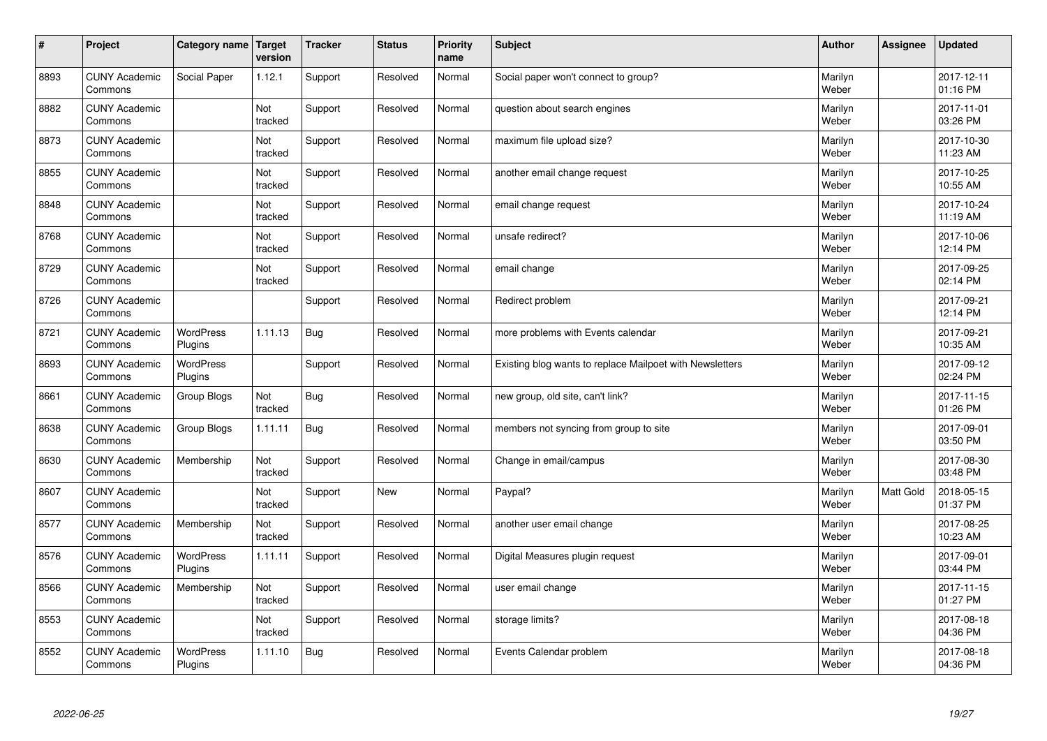| $\sharp$ | Project                         | Category name   Target      | version        | <b>Tracker</b> | <b>Status</b> | <b>Priority</b><br>name | <b>Subject</b>                                           | <b>Author</b>    | Assignee  | <b>Updated</b>         |
|----------|---------------------------------|-----------------------------|----------------|----------------|---------------|-------------------------|----------------------------------------------------------|------------------|-----------|------------------------|
| 8893     | <b>CUNY Academic</b><br>Commons | Social Paper                | 1.12.1         | Support        | Resolved      | Normal                  | Social paper won't connect to group?                     | Marilyn<br>Weber |           | 2017-12-11<br>01:16 PM |
| 8882     | <b>CUNY Academic</b><br>Commons |                             | Not<br>tracked | Support        | Resolved      | Normal                  | question about search engines                            | Marilyn<br>Weber |           | 2017-11-01<br>03:26 PM |
| 8873     | <b>CUNY Academic</b><br>Commons |                             | Not<br>tracked | Support        | Resolved      | Normal                  | maximum file upload size?                                | Marilyn<br>Weber |           | 2017-10-30<br>11:23 AM |
| 8855     | <b>CUNY Academic</b><br>Commons |                             | Not<br>tracked | Support        | Resolved      | Normal                  | another email change request                             | Marilyn<br>Weber |           | 2017-10-25<br>10:55 AM |
| 8848     | <b>CUNY Academic</b><br>Commons |                             | Not<br>tracked | Support        | Resolved      | Normal                  | email change request                                     | Marilyn<br>Weber |           | 2017-10-24<br>11:19 AM |
| 8768     | <b>CUNY Academic</b><br>Commons |                             | Not<br>tracked | Support        | Resolved      | Normal                  | unsafe redirect?                                         | Marilyn<br>Weber |           | 2017-10-06<br>12:14 PM |
| 8729     | <b>CUNY Academic</b><br>Commons |                             | Not<br>tracked | Support        | Resolved      | Normal                  | email change                                             | Marilyn<br>Weber |           | 2017-09-25<br>02:14 PM |
| 8726     | <b>CUNY Academic</b><br>Commons |                             |                | Support        | Resolved      | Normal                  | Redirect problem                                         | Marilyn<br>Weber |           | 2017-09-21<br>12:14 PM |
| 8721     | <b>CUNY Academic</b><br>Commons | <b>WordPress</b><br>Plugins | 1.11.13        | <b>Bug</b>     | Resolved      | Normal                  | more problems with Events calendar                       | Marilyn<br>Weber |           | 2017-09-21<br>10:35 AM |
| 8693     | <b>CUNY Academic</b><br>Commons | WordPress<br>Plugins        |                | Support        | Resolved      | Normal                  | Existing blog wants to replace Mailpoet with Newsletters | Marilyn<br>Weber |           | 2017-09-12<br>02:24 PM |
| 8661     | <b>CUNY Academic</b><br>Commons | Group Blogs                 | Not<br>tracked | <b>Bug</b>     | Resolved      | Normal                  | new group, old site, can't link?                         | Marilyn<br>Weber |           | 2017-11-15<br>01:26 PM |
| 8638     | <b>CUNY Academic</b><br>Commons | Group Blogs                 | 1.11.11        | Bug            | Resolved      | Normal                  | members not syncing from group to site                   | Marilyn<br>Weber |           | 2017-09-01<br>03:50 PM |
| 8630     | <b>CUNY Academic</b><br>Commons | Membership                  | Not<br>tracked | Support        | Resolved      | Normal                  | Change in email/campus                                   | Marilyn<br>Weber |           | 2017-08-30<br>03:48 PM |
| 8607     | <b>CUNY Academic</b><br>Commons |                             | Not<br>tracked | Support        | New           | Normal                  | Paypal?                                                  | Marilyn<br>Weber | Matt Gold | 2018-05-15<br>01:37 PM |
| 8577     | <b>CUNY Academic</b><br>Commons | Membership                  | Not<br>tracked | Support        | Resolved      | Normal                  | another user email change                                | Marilyn<br>Weber |           | 2017-08-25<br>10:23 AM |
| 8576     | <b>CUNY Academic</b><br>Commons | <b>WordPress</b><br>Plugins | 1.11.11        | Support        | Resolved      | Normal                  | Digital Measures plugin request                          | Marilyn<br>Weber |           | 2017-09-01<br>03:44 PM |
| 8566     | <b>CUNY Academic</b><br>Commons | Membership                  | Not<br>tracked | Support        | Resolved      | Normal                  | user email change                                        | Marilyn<br>Weber |           | 2017-11-15<br>01:27 PM |
| 8553     | <b>CUNY Academic</b><br>Commons |                             | Not<br>tracked | Support        | Resolved      | Normal                  | storage limits?                                          | Marilyn<br>Weber |           | 2017-08-18<br>04:36 PM |
| 8552     | <b>CUNY Academic</b><br>Commons | <b>WordPress</b><br>Plugins | 1.11.10        | Bug            | Resolved      | Normal                  | Events Calendar problem                                  | Marilyn<br>Weber |           | 2017-08-18<br>04:36 PM |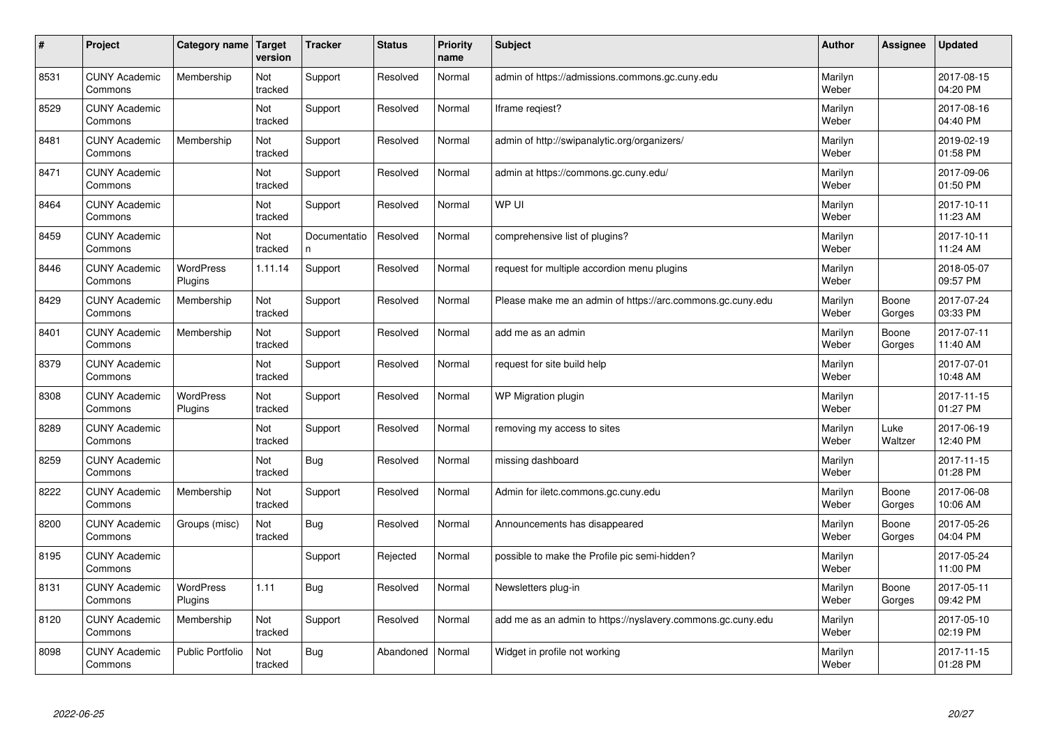| #    | Project                         | Category name               | Target<br>version | <b>Tracker</b>     | <b>Status</b> | <b>Priority</b><br>name | <b>Subject</b>                                              | <b>Author</b>    | Assignee        | <b>Updated</b>         |
|------|---------------------------------|-----------------------------|-------------------|--------------------|---------------|-------------------------|-------------------------------------------------------------|------------------|-----------------|------------------------|
| 8531 | <b>CUNY Academic</b><br>Commons | Membership                  | Not<br>tracked    | Support            | Resolved      | Normal                  | admin of https://admissions.commons.gc.cuny.edu             | Marilyn<br>Weber |                 | 2017-08-15<br>04:20 PM |
| 8529 | <b>CUNY Academic</b><br>Commons |                             | Not<br>tracked    | Support            | Resolved      | Normal                  | Iframe regiest?                                             | Marilyn<br>Weber |                 | 2017-08-16<br>04:40 PM |
| 8481 | <b>CUNY Academic</b><br>Commons | Membership                  | Not<br>tracked    | Support            | Resolved      | Normal                  | admin of http://swipanalytic.org/organizers/                | Marilyn<br>Weber |                 | 2019-02-19<br>01:58 PM |
| 8471 | <b>CUNY Academic</b><br>Commons |                             | Not<br>tracked    | Support            | Resolved      | Normal                  | admin at https://commons.gc.cuny.edu/                       | Marilyn<br>Weber |                 | 2017-09-06<br>01:50 PM |
| 8464 | <b>CUNY Academic</b><br>Commons |                             | Not<br>tracked    | Support            | Resolved      | Normal                  | WP UI                                                       | Marilyn<br>Weber |                 | 2017-10-11<br>11:23 AM |
| 8459 | <b>CUNY Academic</b><br>Commons |                             | Not<br>tracked    | Documentatio<br>n. | Resolved      | Normal                  | comprehensive list of plugins?                              | Marilyn<br>Weber |                 | 2017-10-11<br>11:24 AM |
| 8446 | <b>CUNY Academic</b><br>Commons | <b>WordPress</b><br>Plugins | 1.11.14           | Support            | Resolved      | Normal                  | request for multiple accordion menu plugins                 | Marilyn<br>Weber |                 | 2018-05-07<br>09:57 PM |
| 8429 | <b>CUNY Academic</b><br>Commons | Membership                  | Not<br>tracked    | Support            | Resolved      | Normal                  | Please make me an admin of https://arc.commons.gc.cuny.edu  | Marilyn<br>Weber | Boone<br>Gorges | 2017-07-24<br>03:33 PM |
| 8401 | <b>CUNY Academic</b><br>Commons | Membership                  | Not<br>tracked    | Support            | Resolved      | Normal                  | add me as an admin                                          | Marilyn<br>Weber | Boone<br>Gorges | 2017-07-11<br>11:40 AM |
| 8379 | <b>CUNY Academic</b><br>Commons |                             | Not<br>tracked    | Support            | Resolved      | Normal                  | request for site build help                                 | Marilyn<br>Weber |                 | 2017-07-01<br>10:48 AM |
| 8308 | <b>CUNY Academic</b><br>Commons | <b>WordPress</b><br>Plugins | Not<br>tracked    | Support            | Resolved      | Normal                  | WP Migration plugin                                         | Marilyn<br>Weber |                 | 2017-11-15<br>01:27 PM |
| 8289 | <b>CUNY Academic</b><br>Commons |                             | Not<br>tracked    | Support            | Resolved      | Normal                  | removing my access to sites                                 | Marilyn<br>Weber | Luke<br>Waltzer | 2017-06-19<br>12:40 PM |
| 8259 | <b>CUNY Academic</b><br>Commons |                             | Not<br>tracked    | <b>Bug</b>         | Resolved      | Normal                  | missing dashboard                                           | Marilyn<br>Weber |                 | 2017-11-15<br>01:28 PM |
| 8222 | <b>CUNY Academic</b><br>Commons | Membership                  | Not<br>tracked    | Support            | Resolved      | Normal                  | Admin for iletc.commons.gc.cuny.edu                         | Marilyn<br>Weber | Boone<br>Gorges | 2017-06-08<br>10:06 AM |
| 8200 | <b>CUNY Academic</b><br>Commons | Groups (misc)               | Not<br>tracked    | Bug                | Resolved      | Normal                  | Announcements has disappeared                               | Marilyn<br>Weber | Boone<br>Gorges | 2017-05-26<br>04:04 PM |
| 8195 | <b>CUNY Academic</b><br>Commons |                             |                   | Support            | Rejected      | Normal                  | possible to make the Profile pic semi-hidden?               | Marilyn<br>Weber |                 | 2017-05-24<br>11:00 PM |
| 8131 | <b>CUNY Academic</b><br>Commons | WordPress<br>Plugins        | 1.11              | Bug                | Resolved      | Normal                  | Newsletters plug-in                                         | Marilyn<br>Weber | Boone<br>Gorges | 2017-05-11<br>09:42 PM |
| 8120 | <b>CUNY Academic</b><br>Commons | Membership                  | Not<br>tracked    | Support            | Resolved      | Normal                  | add me as an admin to https://nyslavery.commons.gc.cuny.edu | Marilyn<br>Weber |                 | 2017-05-10<br>02:19 PM |
| 8098 | <b>CUNY Academic</b><br>Commons | Public Portfolio            | Not<br>tracked    | Bug                | Abandoned     | Normal                  | Widget in profile not working                               | Marilyn<br>Weber |                 | 2017-11-15<br>01:28 PM |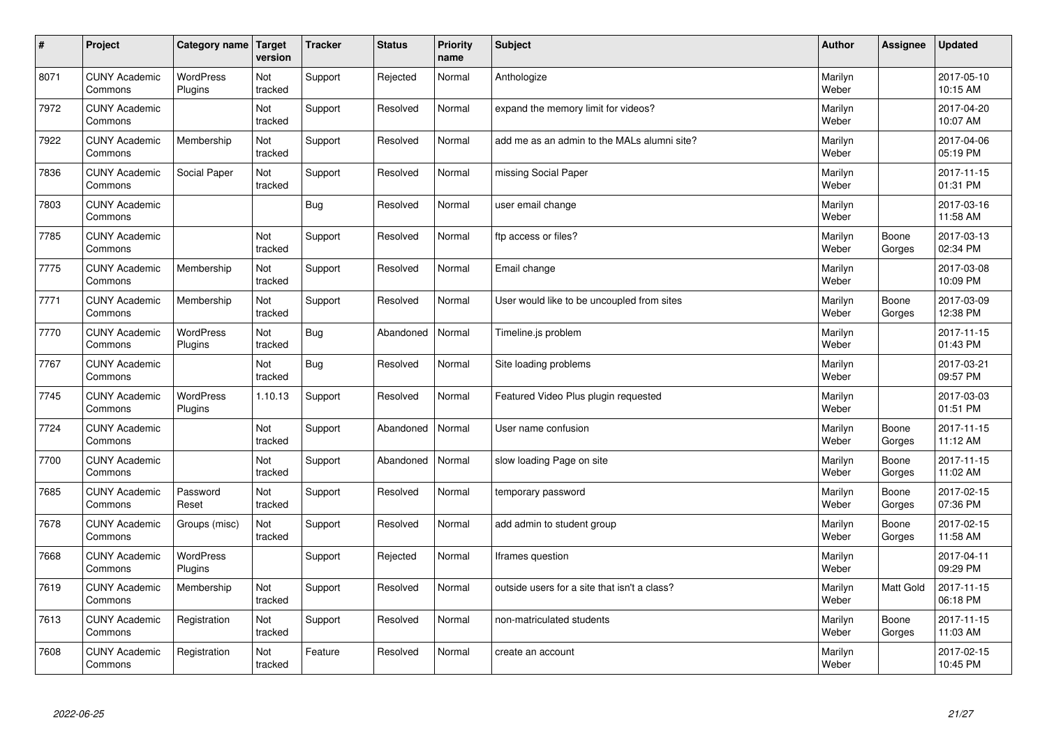| $\vert$ # | Project                         | Category name Target        | version        | <b>Tracker</b> | <b>Status</b> | <b>Priority</b><br>name | <b>Subject</b>                               | <b>Author</b>    | Assignee         | <b>Updated</b>         |
|-----------|---------------------------------|-----------------------------|----------------|----------------|---------------|-------------------------|----------------------------------------------|------------------|------------------|------------------------|
| 8071      | <b>CUNY Academic</b><br>Commons | <b>WordPress</b><br>Plugins | Not<br>tracked | Support        | Rejected      | Normal                  | Anthologize                                  | Marilyn<br>Weber |                  | 2017-05-10<br>10:15 AM |
| 7972      | <b>CUNY Academic</b><br>Commons |                             | Not<br>tracked | Support        | Resolved      | Normal                  | expand the memory limit for videos?          | Marilyn<br>Weber |                  | 2017-04-20<br>10:07 AM |
| 7922      | <b>CUNY Academic</b><br>Commons | Membership                  | Not<br>tracked | Support        | Resolved      | Normal                  | add me as an admin to the MALs alumni site?  | Marilyn<br>Weber |                  | 2017-04-06<br>05:19 PM |
| 7836      | <b>CUNY Academic</b><br>Commons | Social Paper                | Not<br>tracked | Support        | Resolved      | Normal                  | missing Social Paper                         | Marilyn<br>Weber |                  | 2017-11-15<br>01:31 PM |
| 7803      | <b>CUNY Academic</b><br>Commons |                             |                | <b>Bug</b>     | Resolved      | Normal                  | user email change                            | Marilyn<br>Weber |                  | 2017-03-16<br>11:58 AM |
| 7785      | <b>CUNY Academic</b><br>Commons |                             | Not<br>tracked | Support        | Resolved      | Normal                  | ftp access or files?                         | Marilyn<br>Weber | Boone<br>Gorges  | 2017-03-13<br>02:34 PM |
| 7775      | <b>CUNY Academic</b><br>Commons | Membership                  | Not<br>tracked | Support        | Resolved      | Normal                  | Email change                                 | Marilyn<br>Weber |                  | 2017-03-08<br>10:09 PM |
| 7771      | <b>CUNY Academic</b><br>Commons | Membership                  | Not<br>tracked | Support        | Resolved      | Normal                  | User would like to be uncoupled from sites   | Marilyn<br>Weber | Boone<br>Gorges  | 2017-03-09<br>12:38 PM |
| 7770      | <b>CUNY Academic</b><br>Commons | WordPress<br>Plugins        | Not<br>tracked | <b>Bug</b>     | Abandoned     | Normal                  | Timeline.js problem                          | Marilyn<br>Weber |                  | 2017-11-15<br>01:43 PM |
| 7767      | <b>CUNY Academic</b><br>Commons |                             | Not<br>tracked | <b>Bug</b>     | Resolved      | Normal                  | Site loading problems                        | Marilyn<br>Weber |                  | 2017-03-21<br>09:57 PM |
| 7745      | <b>CUNY Academic</b><br>Commons | WordPress<br>Plugins        | 1.10.13        | Support        | Resolved      | Normal                  | Featured Video Plus plugin requested         | Marilyn<br>Weber |                  | 2017-03-03<br>01:51 PM |
| 7724      | <b>CUNY Academic</b><br>Commons |                             | Not<br>tracked | Support        | Abandoned     | Normal                  | User name confusion                          | Marilyn<br>Weber | Boone<br>Gorges  | 2017-11-15<br>11:12 AM |
| 7700      | <b>CUNY Academic</b><br>Commons |                             | Not<br>tracked | Support        | Abandoned     | Normal                  | slow loading Page on site                    | Marilyn<br>Weber | Boone<br>Gorges  | 2017-11-15<br>11:02 AM |
| 7685      | <b>CUNY Academic</b><br>Commons | Password<br>Reset           | Not<br>tracked | Support        | Resolved      | Normal                  | temporary password                           | Marilyn<br>Weber | Boone<br>Gorges  | 2017-02-15<br>07:36 PM |
| 7678      | <b>CUNY Academic</b><br>Commons | Groups (misc)               | Not<br>tracked | Support        | Resolved      | Normal                  | add admin to student group                   | Marilyn<br>Weber | Boone<br>Gorges  | 2017-02-15<br>11:58 AM |
| 7668      | <b>CUNY Academic</b><br>Commons | WordPress<br>Plugins        |                | Support        | Rejected      | Normal                  | Iframes question                             | Marilyn<br>Weber |                  | 2017-04-11<br>09:29 PM |
| 7619      | <b>CUNY Academic</b><br>Commons | Membership                  | Not<br>tracked | Support        | Resolved      | Normal                  | outside users for a site that isn't a class? | Marilyn<br>Weber | <b>Matt Gold</b> | 2017-11-15<br>06:18 PM |
| 7613      | <b>CUNY Academic</b><br>Commons | Registration                | Not<br>tracked | Support        | Resolved      | Normal                  | non-matriculated students                    | Marilyn<br>Weber | Boone<br>Gorges  | 2017-11-15<br>11:03 AM |
| 7608      | <b>CUNY Academic</b><br>Commons | Registration                | Not<br>tracked | Feature        | Resolved      | Normal                  | create an account                            | Marilyn<br>Weber |                  | 2017-02-15<br>10:45 PM |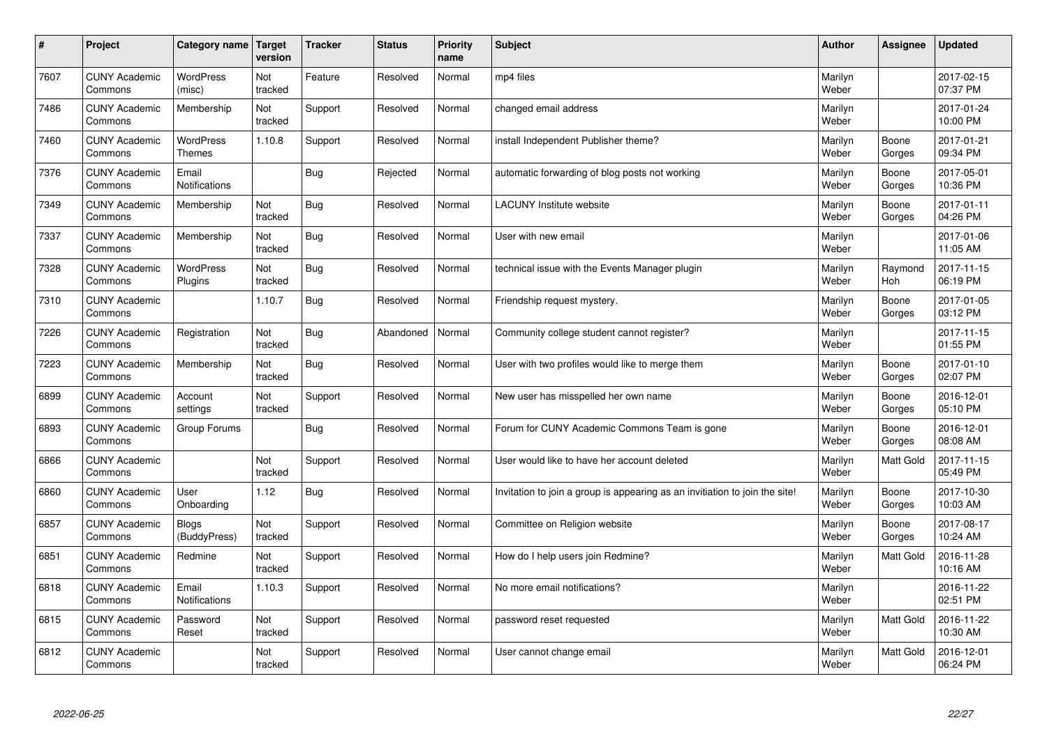| $\vert$ # | Project                         | Category name                 | <b>Target</b><br>version | <b>Tracker</b> | <b>Status</b> | <b>Priority</b><br>name | <b>Subject</b>                                                              | <b>Author</b>    | <b>Assignee</b>  | <b>Updated</b>         |
|-----------|---------------------------------|-------------------------------|--------------------------|----------------|---------------|-------------------------|-----------------------------------------------------------------------------|------------------|------------------|------------------------|
| 7607      | <b>CUNY Academic</b><br>Commons | <b>WordPress</b><br>(misc)    | Not<br>tracked           | Feature        | Resolved      | Normal                  | mp4 files                                                                   | Marilyn<br>Weber |                  | 2017-02-15<br>07:37 PM |
| 7486      | <b>CUNY Academic</b><br>Commons | Membership                    | Not<br>tracked           | Support        | Resolved      | Normal                  | changed email address                                                       | Marilyn<br>Weber |                  | 2017-01-24<br>10:00 PM |
| 7460      | <b>CUNY Academic</b><br>Commons | WordPress<br><b>Themes</b>    | 1.10.8                   | Support        | Resolved      | Normal                  | install Independent Publisher theme?                                        | Marilyn<br>Weber | Boone<br>Gorges  | 2017-01-21<br>09:34 PM |
| 7376      | <b>CUNY Academic</b><br>Commons | Email<br>Notifications        |                          | <b>Bug</b>     | Rejected      | Normal                  | automatic forwarding of blog posts not working                              | Marilyn<br>Weber | Boone<br>Gorges  | 2017-05-01<br>10:36 PM |
| 7349      | <b>CUNY Academic</b><br>Commons | Membership                    | Not<br>tracked           | <b>Bug</b>     | Resolved      | Normal                  | <b>LACUNY</b> Institute website                                             | Marilyn<br>Weber | Boone<br>Gorges  | 2017-01-11<br>04:26 PM |
| 7337      | <b>CUNY Academic</b><br>Commons | Membership                    | Not<br>tracked           | Bug            | Resolved      | Normal                  | User with new email                                                         | Marilyn<br>Weber |                  | 2017-01-06<br>11:05 AM |
| 7328      | <b>CUNY Academic</b><br>Commons | WordPress<br>Plugins          | Not<br>tracked           | <b>Bug</b>     | Resolved      | Normal                  | technical issue with the Events Manager plugin                              | Marilyn<br>Weber | Raymond<br>Hoh   | 2017-11-15<br>06:19 PM |
| 7310      | <b>CUNY Academic</b><br>Commons |                               | 1.10.7                   | <b>Bug</b>     | Resolved      | Normal                  | Friendship request mystery.                                                 | Marilyn<br>Weber | Boone<br>Gorges  | 2017-01-05<br>03:12 PM |
| 7226      | <b>CUNY Academic</b><br>Commons | Registration                  | Not<br>tracked           | Bug            | Abandoned     | Normal                  | Community college student cannot register?                                  | Marilyn<br>Weber |                  | 2017-11-15<br>01:55 PM |
| 7223      | <b>CUNY Academic</b><br>Commons | Membership                    | Not<br>tracked           | Bug            | Resolved      | Normal                  | User with two profiles would like to merge them                             | Marilyn<br>Weber | Boone<br>Gorges  | 2017-01-10<br>02:07 PM |
| 6899      | <b>CUNY Academic</b><br>Commons | Account<br>settings           | Not<br>tracked           | Support        | Resolved      | Normal                  | New user has misspelled her own name                                        | Marilyn<br>Weber | Boone<br>Gorges  | 2016-12-01<br>05:10 PM |
| 6893      | <b>CUNY Academic</b><br>Commons | Group Forums                  |                          | <b>Bug</b>     | Resolved      | Normal                  | Forum for CUNY Academic Commons Team is gone                                | Marilyn<br>Weber | Boone<br>Gorges  | 2016-12-01<br>08:08 AM |
| 6866      | <b>CUNY Academic</b><br>Commons |                               | Not<br>tracked           | Support        | Resolved      | Normal                  | User would like to have her account deleted                                 | Marilyn<br>Weber | Matt Gold        | 2017-11-15<br>05:49 PM |
| 6860      | <b>CUNY Academic</b><br>Commons | User<br>Onboarding            | 1.12                     | <b>Bug</b>     | Resolved      | Normal                  | Invitation to join a group is appearing as an invitiation to join the site! | Marilyn<br>Weber | Boone<br>Gorges  | 2017-10-30<br>10:03 AM |
| 6857      | <b>CUNY Academic</b><br>Commons | <b>Blogs</b><br>(BuddyPress)  | Not<br>tracked           | Support        | Resolved      | Normal                  | Committee on Religion website                                               | Marilyn<br>Weber | Boone<br>Gorges  | 2017-08-17<br>10:24 AM |
| 6851      | <b>CUNY Academic</b><br>Commons | Redmine                       | Not<br>tracked           | Support        | Resolved      | Normal                  | How do I help users join Redmine?                                           | Marilyn<br>Weber | <b>Matt Gold</b> | 2016-11-28<br>10:16 AM |
| 6818      | <b>CUNY Academic</b><br>Commons | Email<br><b>Notifications</b> | 1.10.3                   | Support        | Resolved      | Normal                  | No more email notifications?                                                | Marilyn<br>Weber |                  | 2016-11-22<br>02:51 PM |
| 6815      | <b>CUNY Academic</b><br>Commons | Password<br>Reset             | Not<br>tracked           | Support        | Resolved      | Normal                  | password reset requested                                                    | Marilyn<br>Weber | Matt Gold        | 2016-11-22<br>10:30 AM |
| 6812      | <b>CUNY Academic</b><br>Commons |                               | Not<br>tracked           | Support        | Resolved      | Normal                  | User cannot change email                                                    | Marilyn<br>Weber | <b>Matt Gold</b> | 2016-12-01<br>06:24 PM |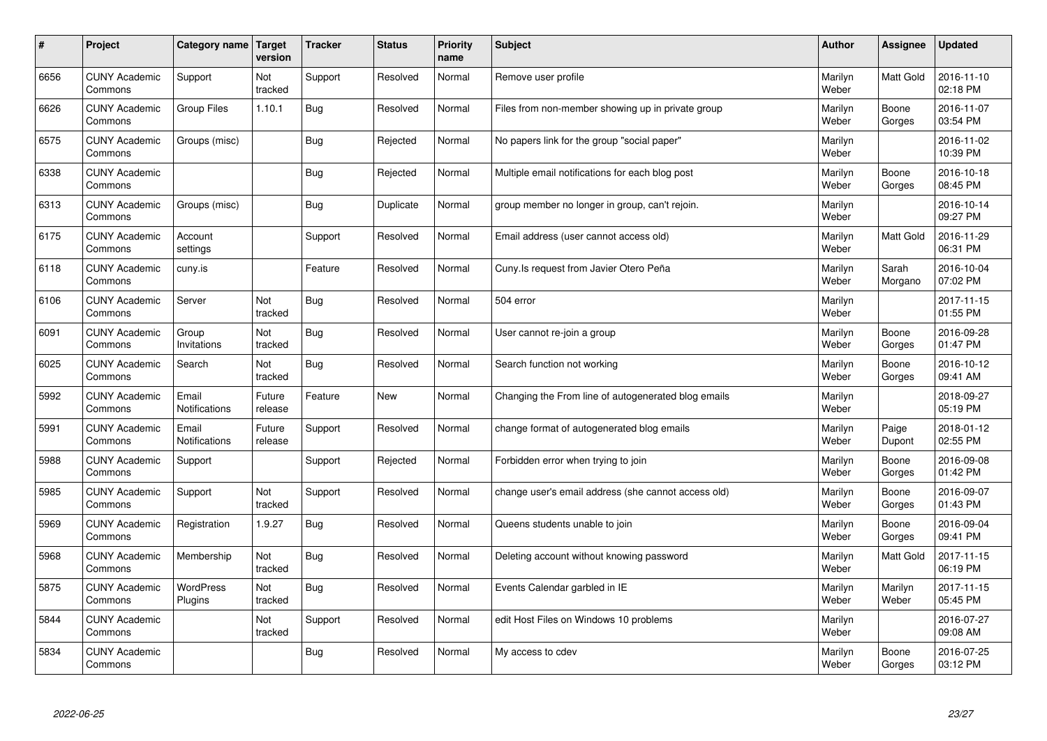| $\sharp$ | Project                         | Category name               | <b>Target</b><br>version | <b>Tracker</b> | <b>Status</b> | <b>Priority</b><br>name | <b>Subject</b>                                      | <b>Author</b>    | Assignee         | <b>Updated</b>         |
|----------|---------------------------------|-----------------------------|--------------------------|----------------|---------------|-------------------------|-----------------------------------------------------|------------------|------------------|------------------------|
| 6656     | <b>CUNY Academic</b><br>Commons | Support                     | Not<br>tracked           | Support        | Resolved      | Normal                  | Remove user profile                                 | Marilyn<br>Weber | <b>Matt Gold</b> | 2016-11-10<br>02:18 PM |
| 6626     | <b>CUNY Academic</b><br>Commons | <b>Group Files</b>          | 1.10.1                   | Bug            | Resolved      | Normal                  | Files from non-member showing up in private group   | Marilyn<br>Weber | Boone<br>Gorges  | 2016-11-07<br>03:54 PM |
| 6575     | <b>CUNY Academic</b><br>Commons | Groups (misc)               |                          | Bug            | Rejected      | Normal                  | No papers link for the group "social paper"         | Marilyn<br>Weber |                  | 2016-11-02<br>10:39 PM |
| 6338     | <b>CUNY Academic</b><br>Commons |                             |                          | Bug            | Rejected      | Normal                  | Multiple email notifications for each blog post     | Marilyn<br>Weber | Boone<br>Gorges  | 2016-10-18<br>08:45 PM |
| 6313     | <b>CUNY Academic</b><br>Commons | Groups (misc)               |                          | Bug            | Duplicate     | Normal                  | group member no longer in group, can't rejoin.      | Marilyn<br>Weber |                  | 2016-10-14<br>09:27 PM |
| 6175     | <b>CUNY Academic</b><br>Commons | Account<br>settings         |                          | Support        | Resolved      | Normal                  | Email address (user cannot access old)              | Marilyn<br>Weber | Matt Gold        | 2016-11-29<br>06:31 PM |
| 6118     | <b>CUNY Academic</b><br>Commons | cuny.is                     |                          | Feature        | Resolved      | Normal                  | Cuny.Is request from Javier Otero Peña              | Marilyn<br>Weber | Sarah<br>Morgano | 2016-10-04<br>07:02 PM |
| 6106     | <b>CUNY Academic</b><br>Commons | Server                      | Not<br>tracked           | Bug            | Resolved      | Normal                  | 504 error                                           | Marilyn<br>Weber |                  | 2017-11-15<br>01:55 PM |
| 6091     | <b>CUNY Academic</b><br>Commons | Group<br>Invitations        | Not<br>tracked           | Bug            | Resolved      | Normal                  | User cannot re-join a group                         | Marilyn<br>Weber | Boone<br>Gorges  | 2016-09-28<br>01:47 PM |
| 6025     | <b>CUNY Academic</b><br>Commons | Search                      | Not<br>tracked           | <b>Bug</b>     | Resolved      | Normal                  | Search function not working                         | Marilyn<br>Weber | Boone<br>Gorges  | 2016-10-12<br>09:41 AM |
| 5992     | <b>CUNY Academic</b><br>Commons | Email<br>Notifications      | Future<br>release        | Feature        | <b>New</b>    | Normal                  | Changing the From line of autogenerated blog emails | Marilyn<br>Weber |                  | 2018-09-27<br>05:19 PM |
| 5991     | <b>CUNY Academic</b><br>Commons | Email<br>Notifications      | Future<br>release        | Support        | Resolved      | Normal                  | change format of autogenerated blog emails          | Marilyn<br>Weber | Paige<br>Dupont  | 2018-01-12<br>02:55 PM |
| 5988     | <b>CUNY Academic</b><br>Commons | Support                     |                          | Support        | Rejected      | Normal                  | Forbidden error when trying to join                 | Marilyn<br>Weber | Boone<br>Gorges  | 2016-09-08<br>01:42 PM |
| 5985     | <b>CUNY Academic</b><br>Commons | Support                     | Not<br>tracked           | Support        | Resolved      | Normal                  | change user's email address (she cannot access old) | Marilyn<br>Weber | Boone<br>Gorges  | 2016-09-07<br>01:43 PM |
| 5969     | <b>CUNY Academic</b><br>Commons | Registration                | 1.9.27                   | Bug            | Resolved      | Normal                  | Queens students unable to join                      | Marilyn<br>Weber | Boone<br>Gorges  | 2016-09-04<br>09:41 PM |
| 5968     | <b>CUNY Academic</b><br>Commons | Membership                  | Not<br>tracked           | <b>Bug</b>     | Resolved      | Normal                  | Deleting account without knowing password           | Marilyn<br>Weber | <b>Matt Gold</b> | 2017-11-15<br>06:19 PM |
| 5875     | <b>CUNY Academic</b><br>Commons | <b>WordPress</b><br>Plugins | Not<br>tracked           | Bug            | Resolved      | Normal                  | Events Calendar garbled in IE                       | Marilyn<br>Weber | Marilyn<br>Weber | 2017-11-15<br>05:45 PM |
| 5844     | <b>CUNY Academic</b><br>Commons |                             | Not<br>tracked           | Support        | Resolved      | Normal                  | edit Host Files on Windows 10 problems              | Marilyn<br>Weber |                  | 2016-07-27<br>09:08 AM |
| 5834     | <b>CUNY Academic</b><br>Commons |                             |                          | Bug            | Resolved      | Normal                  | My access to cdev                                   | Marilyn<br>Weber | Boone<br>Gorges  | 2016-07-25<br>03:12 PM |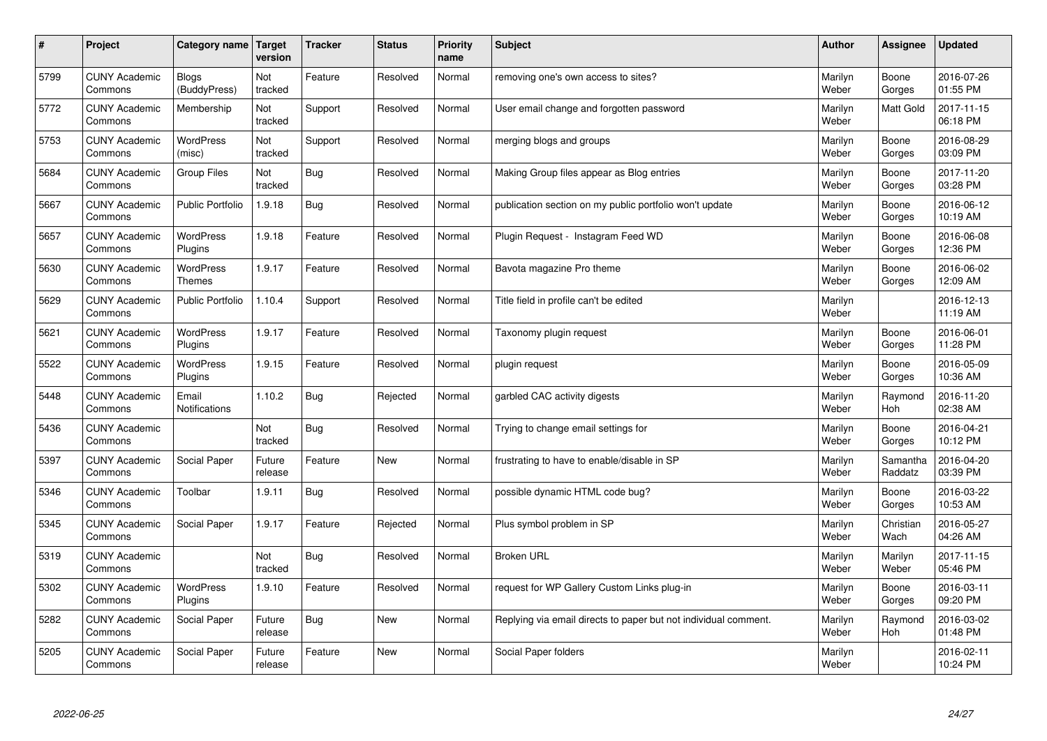| $\sharp$ | Project                         | Category name   Target            | version           | <b>Tracker</b> | <b>Status</b> | <b>Priority</b><br>name | <b>Subject</b>                                                  | <b>Author</b>    | Assignee              | <b>Updated</b>         |
|----------|---------------------------------|-----------------------------------|-------------------|----------------|---------------|-------------------------|-----------------------------------------------------------------|------------------|-----------------------|------------------------|
| 5799     | <b>CUNY Academic</b><br>Commons | <b>Blogs</b><br>(BuddyPress)      | Not<br>tracked    | Feature        | Resolved      | Normal                  | removing one's own access to sites?                             | Marilyn<br>Weber | Boone<br>Gorges       | 2016-07-26<br>01:55 PM |
| 5772     | <b>CUNY Academic</b><br>Commons | Membership                        | Not<br>tracked    | Support        | Resolved      | Normal                  | User email change and forgotten password                        | Marilyn<br>Weber | <b>Matt Gold</b>      | 2017-11-15<br>06:18 PM |
| 5753     | <b>CUNY Academic</b><br>Commons | <b>WordPress</b><br>(misc)        | Not<br>tracked    | Support        | Resolved      | Normal                  | merging blogs and groups                                        | Marilyn<br>Weber | Boone<br>Gorges       | 2016-08-29<br>03:09 PM |
| 5684     | <b>CUNY Academic</b><br>Commons | Group Files                       | Not<br>tracked    | Bug            | Resolved      | Normal                  | Making Group files appear as Blog entries                       | Marilyn<br>Weber | Boone<br>Gorges       | 2017-11-20<br>03:28 PM |
| 5667     | <b>CUNY Academic</b><br>Commons | <b>Public Portfolio</b>           | 1.9.18            | Bug            | Resolved      | Normal                  | publication section on my public portfolio won't update         | Marilyn<br>Weber | Boone<br>Gorges       | 2016-06-12<br>10:19 AM |
| 5657     | <b>CUNY Academic</b><br>Commons | WordPress<br>Plugins              | 1.9.18            | Feature        | Resolved      | Normal                  | Plugin Request - Instagram Feed WD                              | Marilyn<br>Weber | Boone<br>Gorges       | 2016-06-08<br>12:36 PM |
| 5630     | <b>CUNY Academic</b><br>Commons | <b>WordPress</b><br><b>Themes</b> | 1.9.17            | Feature        | Resolved      | Normal                  | Bavota magazine Pro theme                                       | Marilyn<br>Weber | Boone<br>Gorges       | 2016-06-02<br>12:09 AM |
| 5629     | <b>CUNY Academic</b><br>Commons | <b>Public Portfolio</b>           | 1.10.4            | Support        | Resolved      | Normal                  | Title field in profile can't be edited                          | Marilyn<br>Weber |                       | 2016-12-13<br>11:19 AM |
| 5621     | <b>CUNY Academic</b><br>Commons | <b>WordPress</b><br>Plugins       | 1.9.17            | Feature        | Resolved      | Normal                  | Taxonomy plugin request                                         | Marilyn<br>Weber | Boone<br>Gorges       | 2016-06-01<br>11:28 PM |
| 5522     | <b>CUNY Academic</b><br>Commons | WordPress<br>Plugins              | 1.9.15            | Feature        | Resolved      | Normal                  | plugin request                                                  | Marilyn<br>Weber | Boone<br>Gorges       | 2016-05-09<br>10:36 AM |
| 5448     | <b>CUNY Academic</b><br>Commons | Email<br>Notifications            | 1.10.2            | <b>Bug</b>     | Rejected      | Normal                  | garbled CAC activity digests                                    | Marilyn<br>Weber | Raymond<br>Hoh        | 2016-11-20<br>02:38 AM |
| 5436     | <b>CUNY Academic</b><br>Commons |                                   | Not<br>tracked    | <b>Bug</b>     | Resolved      | Normal                  | Trying to change email settings for                             | Marilyn<br>Weber | Boone<br>Gorges       | 2016-04-21<br>10:12 PM |
| 5397     | <b>CUNY Academic</b><br>Commons | Social Paper                      | Future<br>release | Feature        | New           | Normal                  | frustrating to have to enable/disable in SP                     | Marilyn<br>Weber | Samantha<br>Raddatz   | 2016-04-20<br>03:39 PM |
| 5346     | <b>CUNY Academic</b><br>Commons | Toolbar                           | 1.9.11            | Bug            | Resolved      | Normal                  | possible dynamic HTML code bug?                                 | Marilyn<br>Weber | Boone<br>Gorges       | 2016-03-22<br>10:53 AM |
| 5345     | <b>CUNY Academic</b><br>Commons | Social Paper                      | 1.9.17            | Feature        | Rejected      | Normal                  | Plus symbol problem in SP                                       | Marilyn<br>Weber | Christian<br>Wach     | 2016-05-27<br>04:26 AM |
| 5319     | <b>CUNY Academic</b><br>Commons |                                   | Not<br>tracked    | <b>Bug</b>     | Resolved      | Normal                  | <b>Broken URL</b>                                               | Marilyn<br>Weber | Marilyn<br>Weber      | 2017-11-15<br>05:46 PM |
| 5302     | <b>CUNY Academic</b><br>Commons | WordPress<br>Plugins              | 1.9.10            | Feature        | Resolved      | Normal                  | request for WP Gallery Custom Links plug-in                     | Marilyn<br>Weber | Boone<br>Gorges       | 2016-03-11<br>09:20 PM |
| 5282     | <b>CUNY Academic</b><br>Commons | Social Paper                      | Future<br>release | Bug            | New           | Normal                  | Replying via email directs to paper but not individual comment. | Marilyn<br>Weber | Raymond<br><b>Hoh</b> | 2016-03-02<br>01:48 PM |
| 5205     | <b>CUNY Academic</b><br>Commons | Social Paper                      | Future<br>release | Feature        | <b>New</b>    | Normal                  | Social Paper folders                                            | Marilyn<br>Weber |                       | 2016-02-11<br>10:24 PM |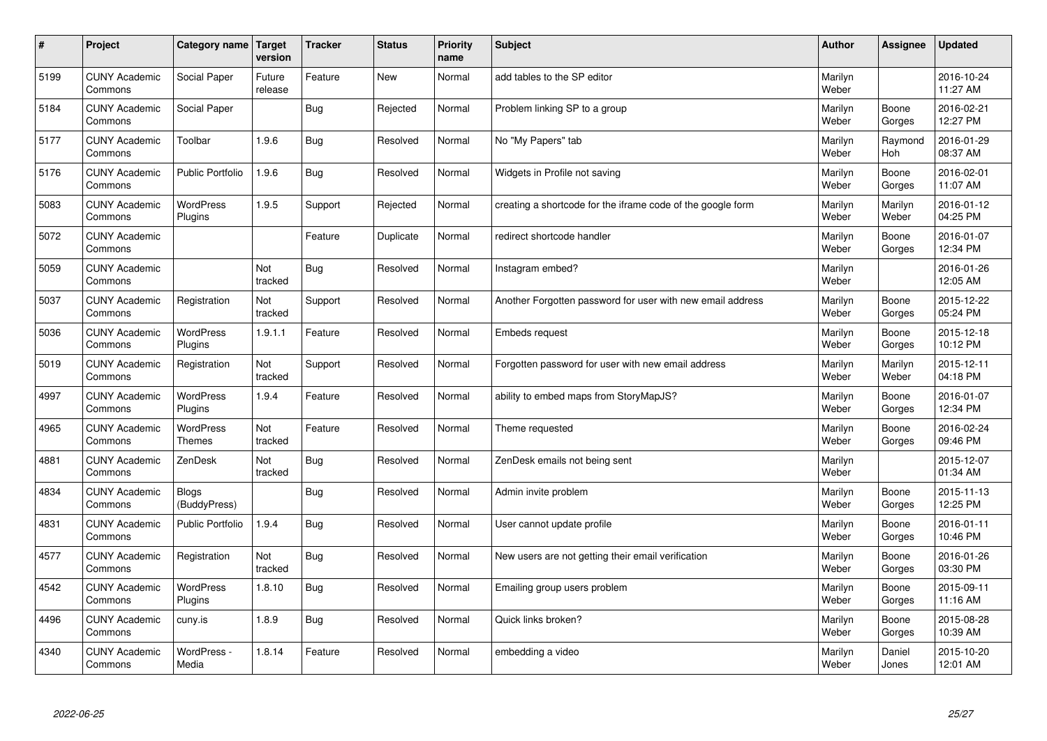| $\pmb{\#}$ | Project                         | Category name                     | Target<br>version | <b>Tracker</b> | <b>Status</b> | <b>Priority</b><br>name | <b>Subject</b>                                              | <b>Author</b>    | Assignee              | <b>Updated</b>         |
|------------|---------------------------------|-----------------------------------|-------------------|----------------|---------------|-------------------------|-------------------------------------------------------------|------------------|-----------------------|------------------------|
| 5199       | <b>CUNY Academic</b><br>Commons | Social Paper                      | Future<br>release | Feature        | <b>New</b>    | Normal                  | add tables to the SP editor                                 | Marilyn<br>Weber |                       | 2016-10-24<br>11:27 AM |
| 5184       | <b>CUNY Academic</b><br>Commons | Social Paper                      |                   | <b>Bug</b>     | Rejected      | Normal                  | Problem linking SP to a group                               | Marilyn<br>Weber | Boone<br>Gorges       | 2016-02-21<br>12:27 PM |
| 5177       | <b>CUNY Academic</b><br>Commons | Toolbar                           | 1.9.6             | <b>Bug</b>     | Resolved      | Normal                  | No "My Papers" tab                                          | Marilyn<br>Weber | Raymond<br><b>Hoh</b> | 2016-01-29<br>08:37 AM |
| 5176       | <b>CUNY Academic</b><br>Commons | <b>Public Portfolio</b>           | 1.9.6             | <b>Bug</b>     | Resolved      | Normal                  | Widgets in Profile not saving                               | Marilyn<br>Weber | Boone<br>Gorges       | 2016-02-01<br>11:07 AM |
| 5083       | <b>CUNY Academic</b><br>Commons | <b>WordPress</b><br>Plugins       | 1.9.5             | Support        | Rejected      | Normal                  | creating a shortcode for the iframe code of the google form | Marilyn<br>Weber | Marilyn<br>Weber      | 2016-01-12<br>04:25 PM |
| 5072       | <b>CUNY Academic</b><br>Commons |                                   |                   | Feature        | Duplicate     | Normal                  | redirect shortcode handler                                  | Marilyn<br>Weber | Boone<br>Gorges       | 2016-01-07<br>12:34 PM |
| 5059       | <b>CUNY Academic</b><br>Commons |                                   | Not<br>tracked    | <b>Bug</b>     | Resolved      | Normal                  | Instagram embed?                                            | Marilyn<br>Weber |                       | 2016-01-26<br>12:05 AM |
| 5037       | <b>CUNY Academic</b><br>Commons | Registration                      | Not<br>tracked    | Support        | Resolved      | Normal                  | Another Forgotten password for user with new email address  | Marilyn<br>Weber | Boone<br>Gorges       | 2015-12-22<br>05:24 PM |
| 5036       | <b>CUNY Academic</b><br>Commons | <b>WordPress</b><br>Plugins       | 1.9.1.1           | Feature        | Resolved      | Normal                  | Embeds request                                              | Marilyn<br>Weber | Boone<br>Gorges       | 2015-12-18<br>10:12 PM |
| 5019       | <b>CUNY Academic</b><br>Commons | Registration                      | Not<br>tracked    | Support        | Resolved      | Normal                  | Forgotten password for user with new email address          | Marilyn<br>Weber | Marilyn<br>Weber      | 2015-12-11<br>04:18 PM |
| 4997       | <b>CUNY Academic</b><br>Commons | WordPress<br>Plugins              | 1.9.4             | Feature        | Resolved      | Normal                  | ability to embed maps from StoryMapJS?                      | Marilyn<br>Weber | Boone<br>Gorges       | 2016-01-07<br>12:34 PM |
| 4965       | <b>CUNY Academic</b><br>Commons | <b>WordPress</b><br><b>Themes</b> | Not<br>tracked    | Feature        | Resolved      | Normal                  | Theme requested                                             | Marilyn<br>Weber | Boone<br>Gorges       | 2016-02-24<br>09:46 PM |
| 4881       | <b>CUNY Academic</b><br>Commons | ZenDesk                           | Not<br>tracked    | Bug            | Resolved      | Normal                  | ZenDesk emails not being sent                               | Marilyn<br>Weber |                       | 2015-12-07<br>01:34 AM |
| 4834       | <b>CUNY Academic</b><br>Commons | Blogs<br>(BuddyPress)             |                   | <b>Bug</b>     | Resolved      | Normal                  | Admin invite problem                                        | Marilyn<br>Weber | Boone<br>Gorges       | 2015-11-13<br>12:25 PM |
| 4831       | <b>CUNY Academic</b><br>Commons | <b>Public Portfolio</b>           | 1.9.4             | Bug            | Resolved      | Normal                  | User cannot update profile                                  | Marilyn<br>Weber | Boone<br>Gorges       | 2016-01-11<br>10:46 PM |
| 4577       | <b>CUNY Academic</b><br>Commons | Registration                      | Not<br>tracked    | <b>Bug</b>     | Resolved      | Normal                  | New users are not getting their email verification          | Marilyn<br>Weber | Boone<br>Gorges       | 2016-01-26<br>03:30 PM |
| 4542       | <b>CUNY Academic</b><br>Commons | WordPress<br>Plugins              | 1.8.10            | <b>Bug</b>     | Resolved      | Normal                  | Emailing group users problem                                | Marilyn<br>Weber | Boone<br>Gorges       | 2015-09-11<br>11:16 AM |
| 4496       | <b>CUNY Academic</b><br>Commons | cuny.is                           | 1.8.9             | Bug            | Resolved      | Normal                  | Quick links broken?                                         | Marilyn<br>Weber | Boone<br>Gorges       | 2015-08-28<br>10:39 AM |
| 4340       | <b>CUNY Academic</b><br>Commons | WordPress -<br>Media              | 1.8.14            | Feature        | Resolved      | Normal                  | embedding a video                                           | Marilyn<br>Weber | Daniel<br>Jones       | 2015-10-20<br>12:01 AM |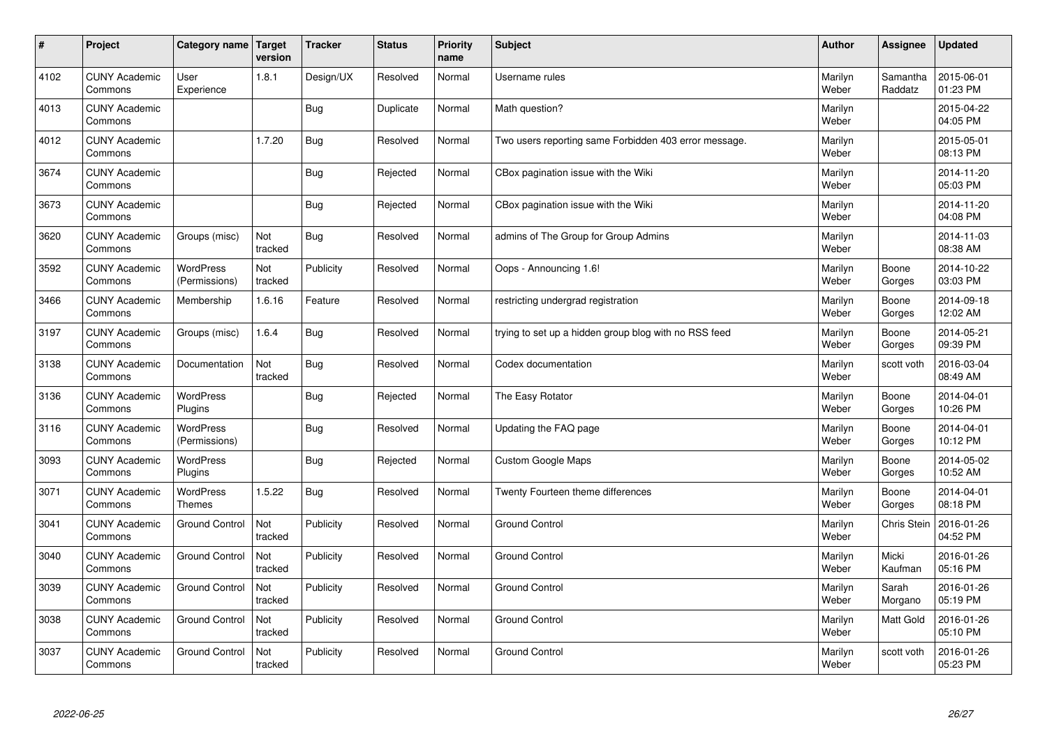| $\sharp$ | Project                         | Category name   Target            | version        | <b>Tracker</b> | <b>Status</b> | <b>Priority</b><br>name | <b>Subject</b>                                        | <b>Author</b>    | Assignee            | <b>Updated</b>         |
|----------|---------------------------------|-----------------------------------|----------------|----------------|---------------|-------------------------|-------------------------------------------------------|------------------|---------------------|------------------------|
| 4102     | <b>CUNY Academic</b><br>Commons | User<br>Experience                | 1.8.1          | Design/UX      | Resolved      | Normal                  | Username rules                                        | Marilyn<br>Weber | Samantha<br>Raddatz | 2015-06-01<br>01:23 PM |
| 4013     | <b>CUNY Academic</b><br>Commons |                                   |                | Bug            | Duplicate     | Normal                  | Math question?                                        | Marilyn<br>Weber |                     | 2015-04-22<br>04:05 PM |
| 4012     | <b>CUNY Academic</b><br>Commons |                                   | 1.7.20         | <b>Bug</b>     | Resolved      | Normal                  | Two users reporting same Forbidden 403 error message. | Marilyn<br>Weber |                     | 2015-05-01<br>08:13 PM |
| 3674     | <b>CUNY Academic</b><br>Commons |                                   |                | Bug            | Rejected      | Normal                  | CBox pagination issue with the Wiki                   | Marilyn<br>Weber |                     | 2014-11-20<br>05:03 PM |
| 3673     | <b>CUNY Academic</b><br>Commons |                                   |                | Bug            | Rejected      | Normal                  | CBox pagination issue with the Wiki                   | Marilyn<br>Weber |                     | 2014-11-20<br>04:08 PM |
| 3620     | <b>CUNY Academic</b><br>Commons | Groups (misc)                     | Not<br>tracked | Bug            | Resolved      | Normal                  | admins of The Group for Group Admins                  | Marilyn<br>Weber |                     | 2014-11-03<br>08:38 AM |
| 3592     | <b>CUNY Academic</b><br>Commons | <b>WordPress</b><br>(Permissions) | Not<br>tracked | Publicity      | Resolved      | Normal                  | Oops - Announcing 1.6!                                | Marilyn<br>Weber | Boone<br>Gorges     | 2014-10-22<br>03:03 PM |
| 3466     | <b>CUNY Academic</b><br>Commons | Membership                        | 1.6.16         | Feature        | Resolved      | Normal                  | restricting undergrad registration                    | Marilyn<br>Weber | Boone<br>Gorges     | 2014-09-18<br>12:02 AM |
| 3197     | <b>CUNY Academic</b><br>Commons | Groups (misc)                     | 1.6.4          | Bug            | Resolved      | Normal                  | trying to set up a hidden group blog with no RSS feed | Marilyn<br>Weber | Boone<br>Gorges     | 2014-05-21<br>09:39 PM |
| 3138     | <b>CUNY Academic</b><br>Commons | Documentation                     | Not<br>tracked | <b>Bug</b>     | Resolved      | Normal                  | Codex documentation                                   | Marilyn<br>Weber | scott voth          | 2016-03-04<br>08:49 AM |
| 3136     | <b>CUNY Academic</b><br>Commons | <b>WordPress</b><br>Plugins       |                | <b>Bug</b>     | Rejected      | Normal                  | The Easy Rotator                                      | Marilyn<br>Weber | Boone<br>Gorges     | 2014-04-01<br>10:26 PM |
| 3116     | <b>CUNY Academic</b><br>Commons | <b>WordPress</b><br>(Permissions) |                | <b>Bug</b>     | Resolved      | Normal                  | Updating the FAQ page                                 | Marilyn<br>Weber | Boone<br>Gorges     | 2014-04-01<br>10:12 PM |
| 3093     | <b>CUNY Academic</b><br>Commons | <b>WordPress</b><br>Plugins       |                | <b>Bug</b>     | Rejected      | Normal                  | Custom Google Maps                                    | Marilyn<br>Weber | Boone<br>Gorges     | 2014-05-02<br>10:52 AM |
| 3071     | <b>CUNY Academic</b><br>Commons | <b>WordPress</b><br><b>Themes</b> | 1.5.22         | Bug            | Resolved      | Normal                  | Twenty Fourteen theme differences                     | Marilyn<br>Weber | Boone<br>Gorges     | 2014-04-01<br>08:18 PM |
| 3041     | <b>CUNY Academic</b><br>Commons | Ground Control                    | Not<br>tracked | Publicity      | Resolved      | Normal                  | <b>Ground Control</b>                                 | Marilyn<br>Weber | Chris Stein         | 2016-01-26<br>04:52 PM |
| 3040     | <b>CUNY Academic</b><br>Commons | <b>Ground Control</b>             | Not<br>tracked | Publicity      | Resolved      | Normal                  | <b>Ground Control</b>                                 | Marilyn<br>Weber | Micki<br>Kaufman    | 2016-01-26<br>05:16 PM |
| 3039     | <b>CUNY Academic</b><br>Commons | <b>Ground Control</b>             | Not<br>tracked | Publicity      | Resolved      | Normal                  | <b>Ground Control</b>                                 | Marilyn<br>Weber | Sarah<br>Morgano    | 2016-01-26<br>05:19 PM |
| 3038     | <b>CUNY Academic</b><br>Commons | <b>Ground Control</b>             | Not<br>tracked | Publicity      | Resolved      | Normal                  | <b>Ground Control</b>                                 | Marilyn<br>Weber | Matt Gold           | 2016-01-26<br>05:10 PM |
| 3037     | <b>CUNY Academic</b><br>Commons | <b>Ground Control</b>             | Not<br>tracked | Publicity      | Resolved      | Normal                  | <b>Ground Control</b>                                 | Marilyn<br>Weber | scott voth          | 2016-01-26<br>05:23 PM |